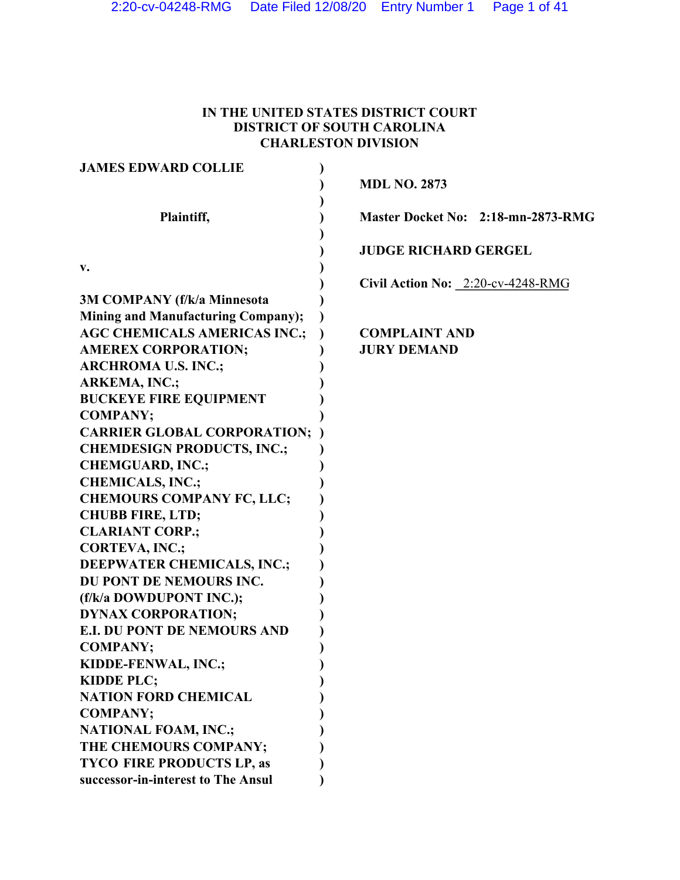# **IN THE UNITED STATES DISTRICT COURT DISTRICT OF SOUTH CAROLINA CHARLESTON DIVISION**

| <b>JAMES EDWARD COLLIE</b>                                                                                                                                                             |                                    |
|----------------------------------------------------------------------------------------------------------------------------------------------------------------------------------------|------------------------------------|
|                                                                                                                                                                                        | <b>MDL NO. 2873</b>                |
|                                                                                                                                                                                        |                                    |
| Plaintiff,                                                                                                                                                                             | Master Docket No: 2:18-mn-2873-RMG |
|                                                                                                                                                                                        |                                    |
|                                                                                                                                                                                        | <b>JUDGE RICHARD GERGEL</b>        |
| v.                                                                                                                                                                                     |                                    |
|                                                                                                                                                                                        | Civil Action No: 2:20-cv-4248-RMG  |
| <b>3M COMPANY (f/k/a Minnesota</b>                                                                                                                                                     |                                    |
| <b>Mining and Manufacturing Company);</b>                                                                                                                                              |                                    |
| <b>AGC CHEMICALS AMERICAS INC.;</b>                                                                                                                                                    | <b>COMPLAINT AND</b>               |
| <b>AMEREX CORPORATION;</b>                                                                                                                                                             | <b>JURY DEMAND</b>                 |
| <b>ARCHROMA U.S. INC.;</b>                                                                                                                                                             |                                    |
| <b>ARKEMA, INC.;</b>                                                                                                                                                                   |                                    |
| <b>BUCKEYE FIRE EQUIPMENT</b>                                                                                                                                                          |                                    |
| <b>COMPANY:</b>                                                                                                                                                                        |                                    |
| <b>CARRIER GLOBAL CORPORATION;</b>                                                                                                                                                     |                                    |
| <b>CHEMDESIGN PRODUCTS, INC.;</b>                                                                                                                                                      |                                    |
| <b>CHEMGUARD, INC.;</b>                                                                                                                                                                |                                    |
| <b>CHEMICALS, INC.;</b>                                                                                                                                                                |                                    |
| <b>CHEMOURS COMPANY FC, LLC;</b>                                                                                                                                                       |                                    |
| <b>CHUBB FIRE, LTD;</b>                                                                                                                                                                |                                    |
| <b>CLARIANT CORP.;</b>                                                                                                                                                                 |                                    |
| <b>CORTEVA, INC.;</b>                                                                                                                                                                  |                                    |
| <b>DEEPWATER CHEMICALS, INC.;</b>                                                                                                                                                      |                                    |
| DU PONT DE NEMOURS INC.                                                                                                                                                                |                                    |
| (f/k/a DOWDUPONT INC.);                                                                                                                                                                |                                    |
| <b>DYNAX CORPORATION;</b>                                                                                                                                                              |                                    |
| <b>E.I. DU PONT DE NEMOURS AND</b>                                                                                                                                                     |                                    |
| <b>COMPANY;</b>                                                                                                                                                                        |                                    |
|                                                                                                                                                                                        |                                    |
|                                                                                                                                                                                        |                                    |
|                                                                                                                                                                                        |                                    |
|                                                                                                                                                                                        |                                    |
|                                                                                                                                                                                        |                                    |
|                                                                                                                                                                                        |                                    |
|                                                                                                                                                                                        |                                    |
| successor-in-interest to The Ansul                                                                                                                                                     |                                    |
| KIDDE-FENWAL, INC.;<br><b>KIDDE PLC;</b><br><b>NATION FORD CHEMICAL</b><br><b>COMPANY;</b><br><b>NATIONAL FOAM, INC.;</b><br>THE CHEMOURS COMPANY;<br><b>TYCO FIRE PRODUCTS LP, as</b> |                                    |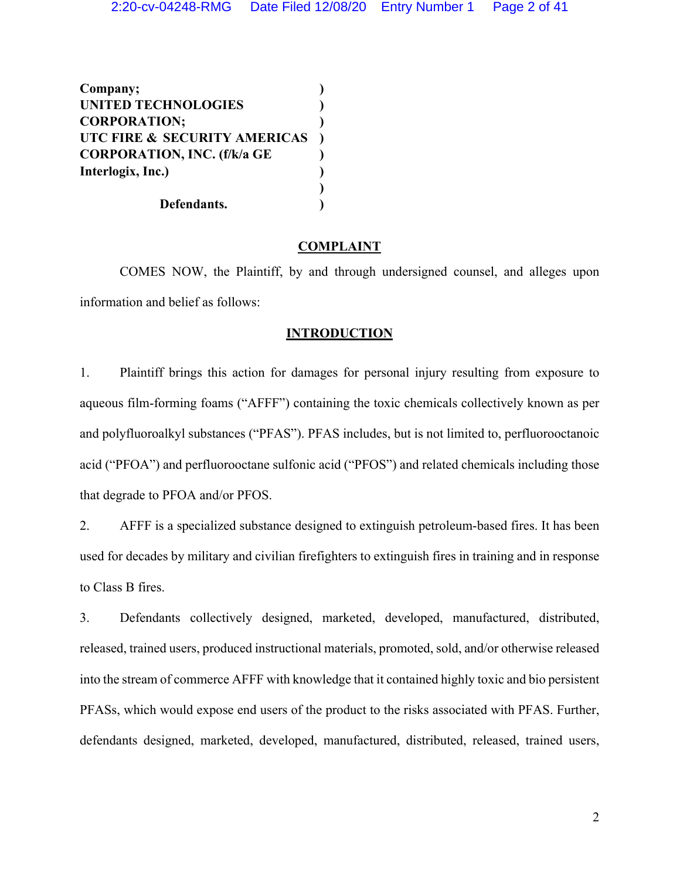**Company; ) UNITED TECHNOLOGIES ) CORPORATION; ) UTC FIRE & SECURITY AMERICAS ) CORPORATION, INC. (f/k/a GE ) Interlogix, Inc.) ) ) Defendants. )**

# **COMPLAINT**

COMES NOW, the Plaintiff, by and through undersigned counsel, and alleges upon information and belief as follows:

# **INTRODUCTION**

1. Plaintiff brings this action for damages for personal injury resulting from exposure to aqueous film-forming foams ("AFFF") containing the toxic chemicals collectively known as per and polyfluoroalkyl substances ("PFAS"). PFAS includes, but is not limited to, perfluorooctanoic acid ("PFOA") and perfluorooctane sulfonic acid ("PFOS") and related chemicals including those that degrade to PFOA and/or PFOS.

2. AFFF is a specialized substance designed to extinguish petroleum-based fires. It has been used for decades by military and civilian firefighters to extinguish fires in training and in response to Class B fires.

3. Defendants collectively designed, marketed, developed, manufactured, distributed, released, trained users, produced instructional materials, promoted, sold, and/or otherwise released into the stream of commerce AFFF with knowledge that it contained highly toxic and bio persistent PFASs, which would expose end users of the product to the risks associated with PFAS. Further, defendants designed, marketed, developed, manufactured, distributed, released, trained users,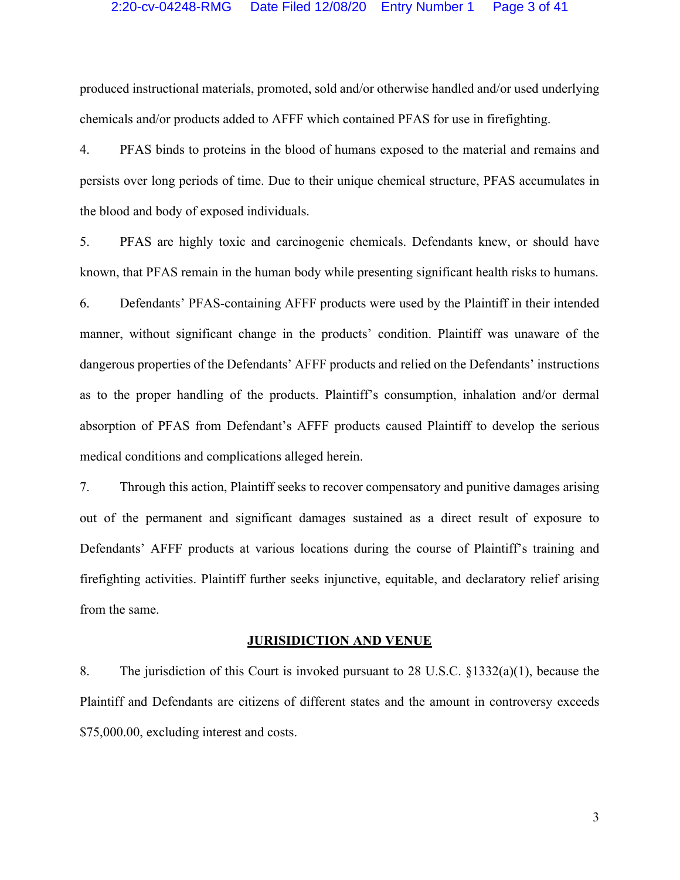## 2:20-cv-04248-RMG Date Filed 12/08/20 Entry Number 1 Page 3 of 41

produced instructional materials, promoted, sold and/or otherwise handled and/or used underlying chemicals and/or products added to AFFF which contained PFAS for use in firefighting.

4. PFAS binds to proteins in the blood of humans exposed to the material and remains and persists over long periods of time. Due to their unique chemical structure, PFAS accumulates in the blood and body of exposed individuals.

5. PFAS are highly toxic and carcinogenic chemicals. Defendants knew, or should have known, that PFAS remain in the human body while presenting significant health risks to humans.

6. Defendants' PFAS-containing AFFF products were used by the Plaintiff in their intended manner, without significant change in the products' condition. Plaintiff was unaware of the dangerous properties of the Defendants' AFFF products and relied on the Defendants' instructions as to the proper handling of the products. Plaintiff's consumption, inhalation and/or dermal absorption of PFAS from Defendant's AFFF products caused Plaintiff to develop the serious medical conditions and complications alleged herein.

7. Through this action, Plaintiff seeks to recover compensatory and punitive damages arising out of the permanent and significant damages sustained as a direct result of exposure to Defendants' AFFF products at various locations during the course of Plaintiff's training and firefighting activities. Plaintiff further seeks injunctive, equitable, and declaratory relief arising from the same.

# **JURISIDICTION AND VENUE**

8. The jurisdiction of this Court is invoked pursuant to 28 U.S.C. §1332(a)(1), because the Plaintiff and Defendants are citizens of different states and the amount in controversy exceeds \$75,000.00, excluding interest and costs.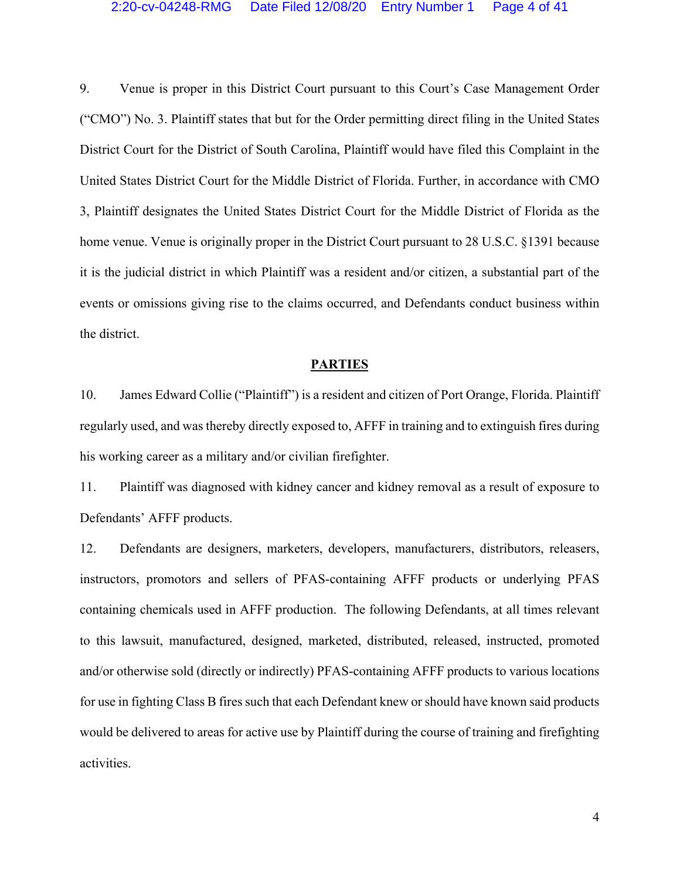9. Venue is proper in this District Court pursuant to this Court's Case Management Order ("CMO") No. 3. Plaintiff states that but for the Order permitting direct filing in the United States District Court for the District of South Carolina, Plaintiff would have filed this Complaint in the United States District Court for the Middle District of Florida. Further, in accordance with CMO 3, Plaintiff designates the United States District Court for the Middle District of Florida as the home venue. Venue is originally proper in the District Court pursuant to 28 U.S.C. §1391 because it is the judicial district in which Plaintiff was a resident and/or citizen, a substantial part of the events or omissions giving rise to the claims occurred, and Defendants conduct business within the district.

#### **PARTIES**

10. James Edward Collie ("Plaintiff") is a resident and citizen of Port Orange, Florida. Plaintiff regularly used, and was thereby directly exposed to, AFFF in training and to extinguish fires during his working career as a military and/or civilian firefighter.

11. Plaintiff was diagnosed with kidney cancer and kidney removal as a result of exposure to Defendants' AFFF products.

12. Defendants are designers, marketers, developers, manufacturers, distributors, releasers, instructors, promotors and sellers of PFAS-containing AFFF products or underlying PFAS containing chemicals used in AFFF production. The following Defendants, at all times relevant to this lawsuit, manufactured, designed, marketed, distributed, released, instructed, promoted and/or otherwise sold (directly or indirectly) PFAS-containing AFFF products to various locations for use in fighting Class B fires such that each Defendant knew or should have known said products would be delivered to areas for active use by Plaintiff during the course of training and firefighting activities.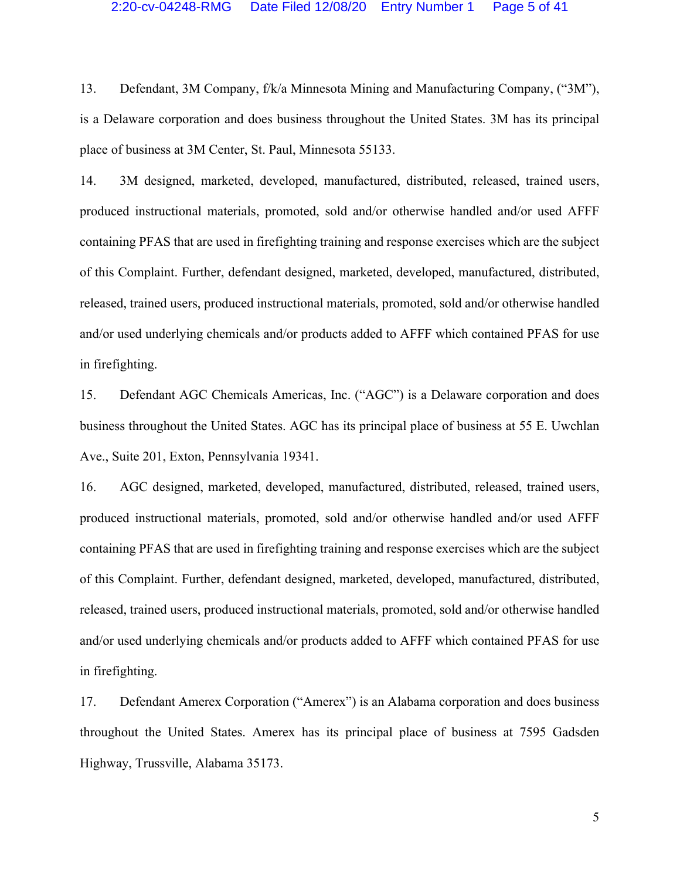#### 2:20-cv-04248-RMG Date Filed 12/08/20 Entry Number 1 Page 5 of 41

13. Defendant, 3M Company, f/k/a Minnesota Mining and Manufacturing Company, ("3M"), is a Delaware corporation and does business throughout the United States. 3M has its principal place of business at 3M Center, St. Paul, Minnesota 55133.

14. 3M designed, marketed, developed, manufactured, distributed, released, trained users, produced instructional materials, promoted, sold and/or otherwise handled and/or used AFFF containing PFAS that are used in firefighting training and response exercises which are the subject of this Complaint. Further, defendant designed, marketed, developed, manufactured, distributed, released, trained users, produced instructional materials, promoted, sold and/or otherwise handled and/or used underlying chemicals and/or products added to AFFF which contained PFAS for use in firefighting.

15. Defendant AGC Chemicals Americas, Inc. ("AGC") is a Delaware corporation and does business throughout the United States. AGC has its principal place of business at 55 E. Uwchlan Ave., Suite 201, Exton, Pennsylvania 19341.

16. AGC designed, marketed, developed, manufactured, distributed, released, trained users, produced instructional materials, promoted, sold and/or otherwise handled and/or used AFFF containing PFAS that are used in firefighting training and response exercises which are the subject of this Complaint. Further, defendant designed, marketed, developed, manufactured, distributed, released, trained users, produced instructional materials, promoted, sold and/or otherwise handled and/or used underlying chemicals and/or products added to AFFF which contained PFAS for use in firefighting.

17. Defendant Amerex Corporation ("Amerex") is an Alabama corporation and does business throughout the United States. Amerex has its principal place of business at 7595 Gadsden Highway, Trussville, Alabama 35173.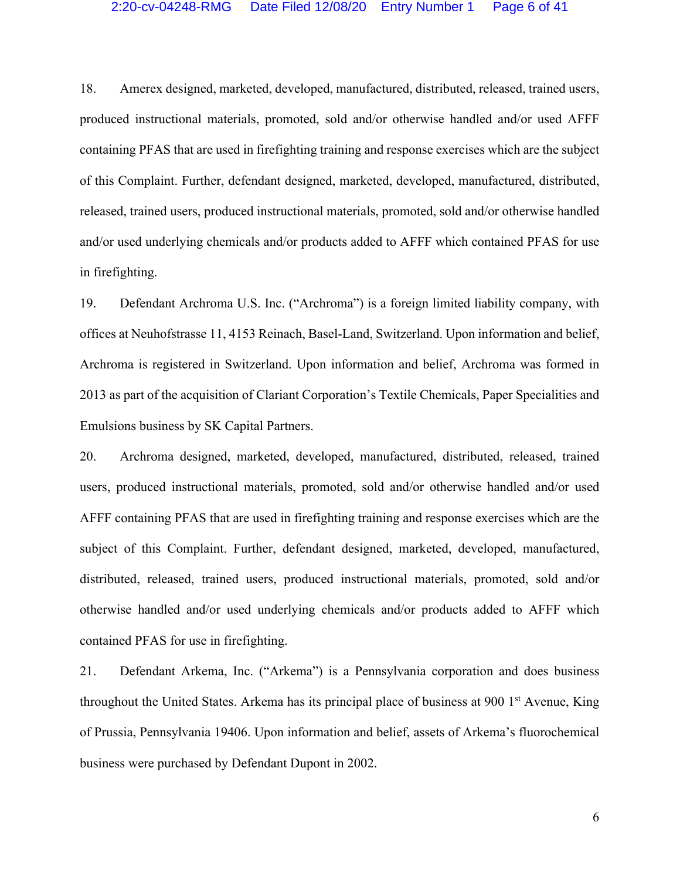## 2:20-cv-04248-RMG Date Filed 12/08/20 Entry Number 1 Page 6 of 41

18. Amerex designed, marketed, developed, manufactured, distributed, released, trained users, produced instructional materials, promoted, sold and/or otherwise handled and/or used AFFF containing PFAS that are used in firefighting training and response exercises which are the subject of this Complaint. Further, defendant designed, marketed, developed, manufactured, distributed, released, trained users, produced instructional materials, promoted, sold and/or otherwise handled and/or used underlying chemicals and/or products added to AFFF which contained PFAS for use in firefighting.

19. Defendant Archroma U.S. Inc. ("Archroma") is a foreign limited liability company, with offices at Neuhofstrasse 11, 4153 Reinach, Basel-Land, Switzerland. Upon information and belief, Archroma is registered in Switzerland. Upon information and belief, Archroma was formed in 2013 as part of the acquisition of Clariant Corporation's Textile Chemicals, Paper Specialities and Emulsions business by SK Capital Partners.

20. Archroma designed, marketed, developed, manufactured, distributed, released, trained users, produced instructional materials, promoted, sold and/or otherwise handled and/or used AFFF containing PFAS that are used in firefighting training and response exercises which are the subject of this Complaint. Further, defendant designed, marketed, developed, manufactured, distributed, released, trained users, produced instructional materials, promoted, sold and/or otherwise handled and/or used underlying chemicals and/or products added to AFFF which contained PFAS for use in firefighting.

21. Defendant Arkema, Inc. ("Arkema") is a Pennsylvania corporation and does business throughout the United States. Arkema has its principal place of business at 900 1<sup>st</sup> Avenue, King of Prussia, Pennsylvania 19406. Upon information and belief, assets of Arkema's fluorochemical business were purchased by Defendant Dupont in 2002.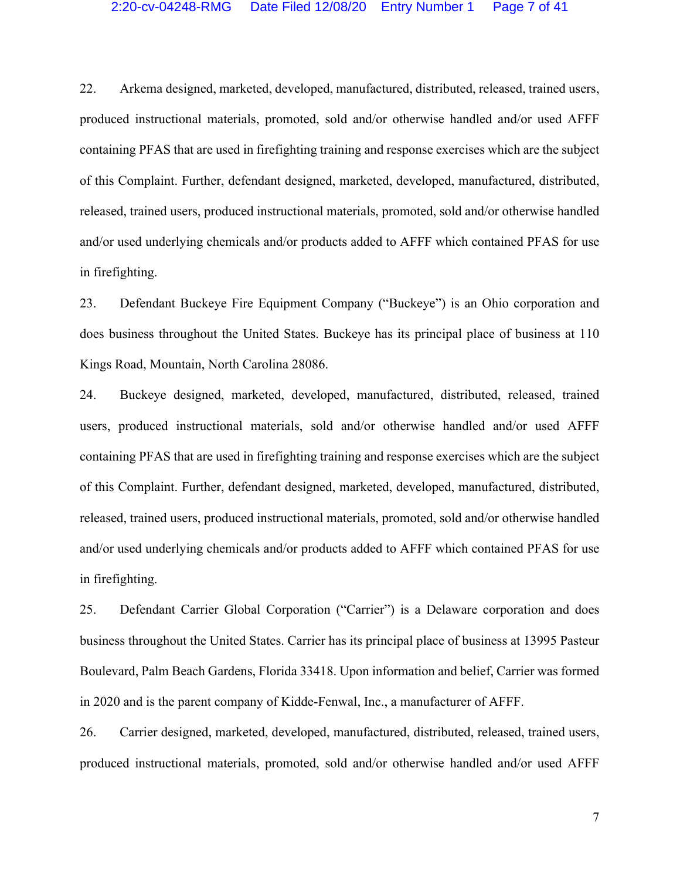## 2:20-cv-04248-RMG Date Filed 12/08/20 Entry Number 1 Page 7 of 41

22. Arkema designed, marketed, developed, manufactured, distributed, released, trained users, produced instructional materials, promoted, sold and/or otherwise handled and/or used AFFF containing PFAS that are used in firefighting training and response exercises which are the subject of this Complaint. Further, defendant designed, marketed, developed, manufactured, distributed, released, trained users, produced instructional materials, promoted, sold and/or otherwise handled and/or used underlying chemicals and/or products added to AFFF which contained PFAS for use in firefighting.

23. Defendant Buckeye Fire Equipment Company ("Buckeye") is an Ohio corporation and does business throughout the United States. Buckeye has its principal place of business at 110 Kings Road, Mountain, North Carolina 28086.

24. Buckeye designed, marketed, developed, manufactured, distributed, released, trained users, produced instructional materials, sold and/or otherwise handled and/or used AFFF containing PFAS that are used in firefighting training and response exercises which are the subject of this Complaint. Further, defendant designed, marketed, developed, manufactured, distributed, released, trained users, produced instructional materials, promoted, sold and/or otherwise handled and/or used underlying chemicals and/or products added to AFFF which contained PFAS for use in firefighting.

25. Defendant Carrier Global Corporation ("Carrier") is a Delaware corporation and does business throughout the United States. Carrier has its principal place of business at 13995 Pasteur Boulevard, Palm Beach Gardens, Florida 33418. Upon information and belief, Carrier was formed in 2020 and is the parent company of Kidde-Fenwal, Inc., a manufacturer of AFFF.

26. Carrier designed, marketed, developed, manufactured, distributed, released, trained users, produced instructional materials, promoted, sold and/or otherwise handled and/or used AFFF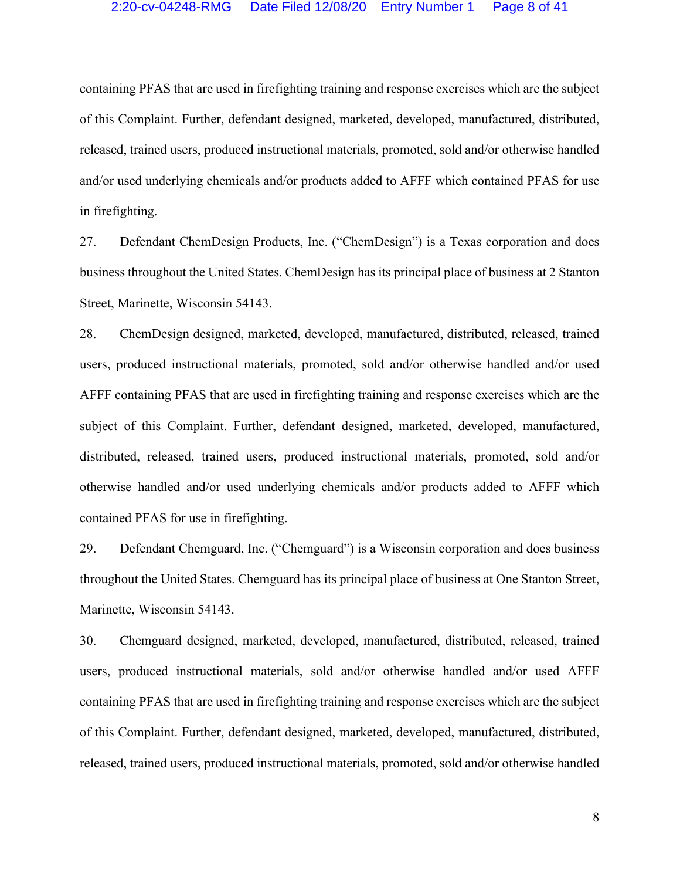containing PFAS that are used in firefighting training and response exercises which are the subject of this Complaint. Further, defendant designed, marketed, developed, manufactured, distributed, released, trained users, produced instructional materials, promoted, sold and/or otherwise handled and/or used underlying chemicals and/or products added to AFFF which contained PFAS for use in firefighting.

27. Defendant ChemDesign Products, Inc. ("ChemDesign") is a Texas corporation and does business throughout the United States. ChemDesign has its principal place of business at 2 Stanton Street, Marinette, Wisconsin 54143.

28. ChemDesign designed, marketed, developed, manufactured, distributed, released, trained users, produced instructional materials, promoted, sold and/or otherwise handled and/or used AFFF containing PFAS that are used in firefighting training and response exercises which are the subject of this Complaint. Further, defendant designed, marketed, developed, manufactured, distributed, released, trained users, produced instructional materials, promoted, sold and/or otherwise handled and/or used underlying chemicals and/or products added to AFFF which contained PFAS for use in firefighting.

29. Defendant Chemguard, Inc. ("Chemguard") is a Wisconsin corporation and does business throughout the United States. Chemguard has its principal place of business at One Stanton Street, Marinette, Wisconsin 54143.

30. Chemguard designed, marketed, developed, manufactured, distributed, released, trained users, produced instructional materials, sold and/or otherwise handled and/or used AFFF containing PFAS that are used in firefighting training and response exercises which are the subject of this Complaint. Further, defendant designed, marketed, developed, manufactured, distributed, released, trained users, produced instructional materials, promoted, sold and/or otherwise handled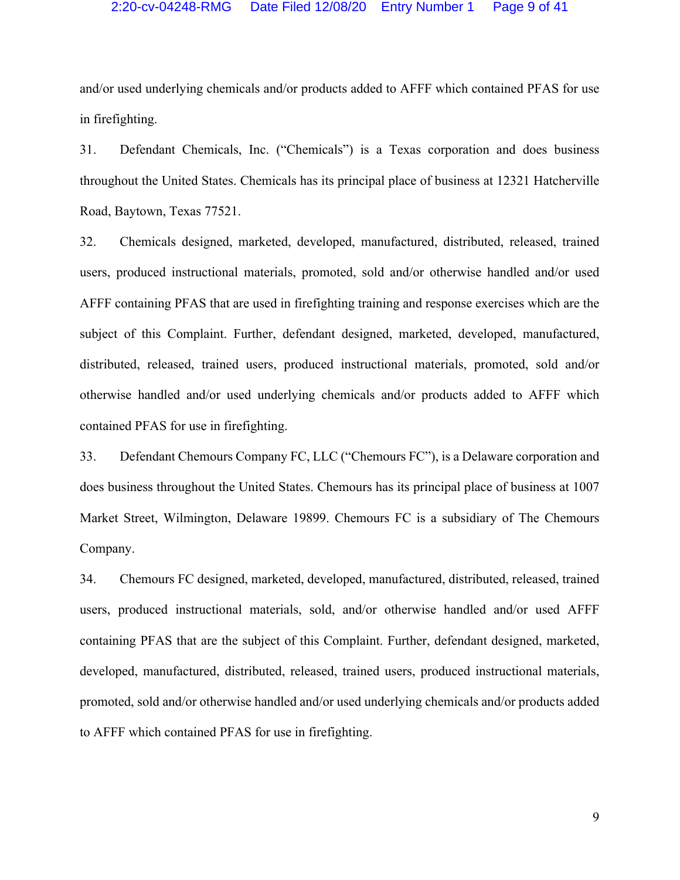## 2:20-cv-04248-RMG Date Filed 12/08/20 Entry Number 1 Page 9 of 41

and/or used underlying chemicals and/or products added to AFFF which contained PFAS for use in firefighting.

31. Defendant Chemicals, Inc. ("Chemicals") is a Texas corporation and does business throughout the United States. Chemicals has its principal place of business at 12321 Hatcherville Road, Baytown, Texas 77521.

32. Chemicals designed, marketed, developed, manufactured, distributed, released, trained users, produced instructional materials, promoted, sold and/or otherwise handled and/or used AFFF containing PFAS that are used in firefighting training and response exercises which are the subject of this Complaint. Further, defendant designed, marketed, developed, manufactured, distributed, released, trained users, produced instructional materials, promoted, sold and/or otherwise handled and/or used underlying chemicals and/or products added to AFFF which contained PFAS for use in firefighting.

33. Defendant Chemours Company FC, LLC ("Chemours FC"), is a Delaware corporation and does business throughout the United States. Chemours has its principal place of business at 1007 Market Street, Wilmington, Delaware 19899. Chemours FC is a subsidiary of The Chemours Company.

34. Chemours FC designed, marketed, developed, manufactured, distributed, released, trained users, produced instructional materials, sold, and/or otherwise handled and/or used AFFF containing PFAS that are the subject of this Complaint. Further, defendant designed, marketed, developed, manufactured, distributed, released, trained users, produced instructional materials, promoted, sold and/or otherwise handled and/or used underlying chemicals and/or products added to AFFF which contained PFAS for use in firefighting.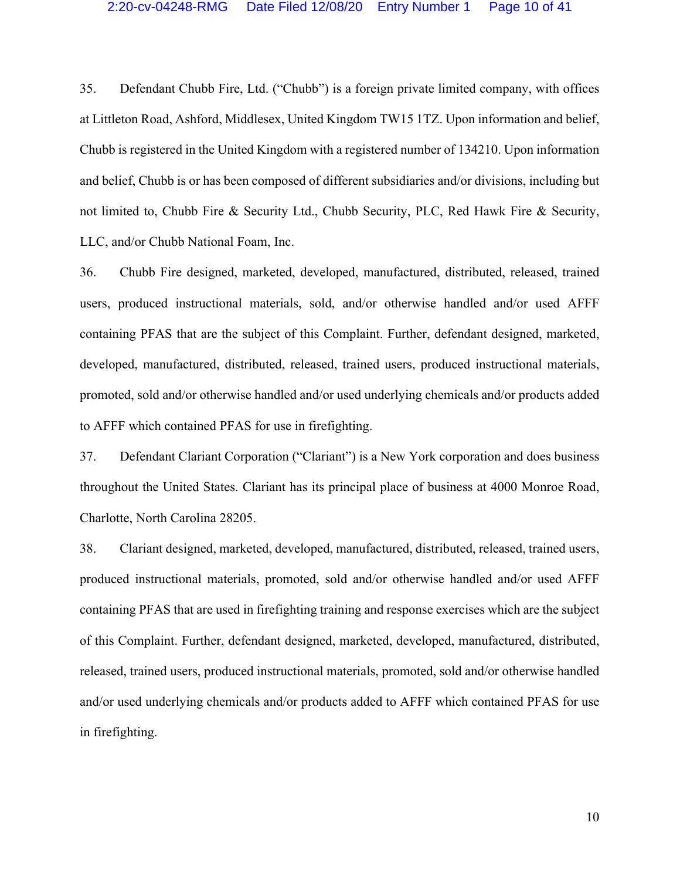35. Defendant Chubb Fire, Ltd. ("Chubb") is a foreign private limited company, with offices at Littleton Road, Ashford, Middlesex, United Kingdom TW15 1TZ. Upon information and belief, Chubb is registered in the United Kingdom with a registered number of 134210. Upon information and belief, Chubb is or has been composed of different subsidiaries and/or divisions, including but not limited to, Chubb Fire & Security Ltd., Chubb Security, PLC, Red Hawk Fire & Security, LLC, and/or Chubb National Foam, Inc.

36. Chubb Fire designed, marketed, developed, manufactured, distributed, released, trained users, produced instructional materials, sold, and/or otherwise handled and/or used AFFF containing PFAS that are the subject of this Complaint. Further, defendant designed, marketed, developed, manufactured, distributed, released, trained users, produced instructional materials, promoted, sold and/or otherwise handled and/or used underlying chemicals and/or products added to AFFF which contained PFAS for use in firefighting.

37. Defendant Clariant Corporation ("Clariant") is a New York corporation and does business throughout the United States. Clariant has its principal place of business at 4000 Monroe Road, Charlotte, North Carolina 28205.

38. Clariant designed, marketed, developed, manufactured, distributed, released, trained users, produced instructional materials, promoted, sold and/or otherwise handled and/or used AFFF containing PFAS that are used in firefighting training and response exercises which are the subject of this Complaint. Further, defendant designed, marketed, developed, manufactured, distributed, released, trained users, produced instructional materials, promoted, sold and/or otherwise handled and/or used underlying chemicals and/or products added to AFFF which contained PFAS for use in firefighting.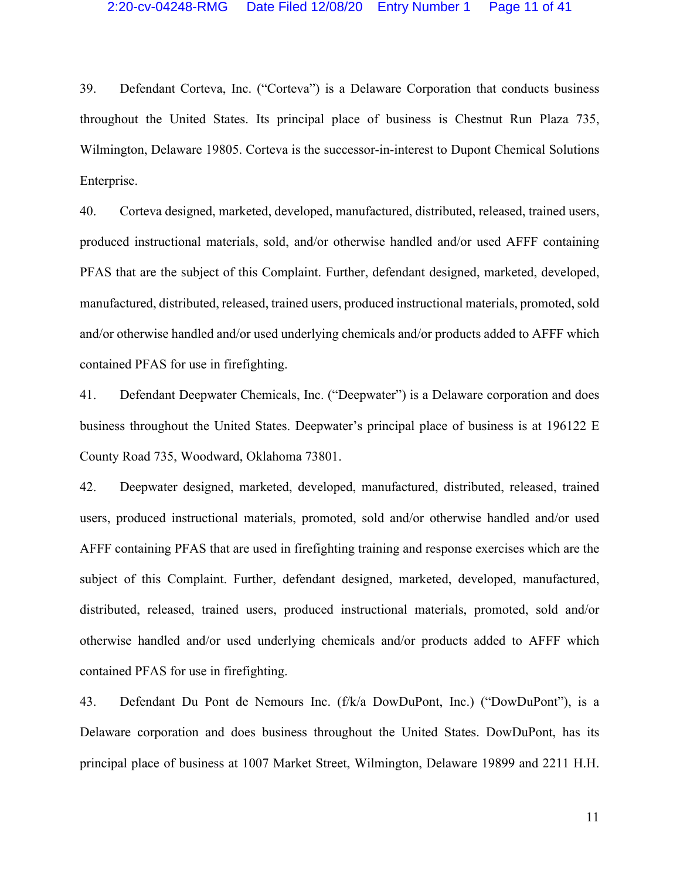39. Defendant Corteva, Inc. ("Corteva") is a Delaware Corporation that conducts business throughout the United States. Its principal place of business is Chestnut Run Plaza 735, Wilmington, Delaware 19805. Corteva is the successor-in-interest to Dupont Chemical Solutions Enterprise.

40. Corteva designed, marketed, developed, manufactured, distributed, released, trained users, produced instructional materials, sold, and/or otherwise handled and/or used AFFF containing PFAS that are the subject of this Complaint. Further, defendant designed, marketed, developed, manufactured, distributed, released, trained users, produced instructional materials, promoted, sold and/or otherwise handled and/or used underlying chemicals and/or products added to AFFF which contained PFAS for use in firefighting.

41. Defendant Deepwater Chemicals, Inc. ("Deepwater") is a Delaware corporation and does business throughout the United States. Deepwater's principal place of business is at 196122 E County Road 735, Woodward, Oklahoma 73801.

42. Deepwater designed, marketed, developed, manufactured, distributed, released, trained users, produced instructional materials, promoted, sold and/or otherwise handled and/or used AFFF containing PFAS that are used in firefighting training and response exercises which are the subject of this Complaint. Further, defendant designed, marketed, developed, manufactured, distributed, released, trained users, produced instructional materials, promoted, sold and/or otherwise handled and/or used underlying chemicals and/or products added to AFFF which contained PFAS for use in firefighting.

43. Defendant Du Pont de Nemours Inc. (f/k/a DowDuPont, Inc.) ("DowDuPont"), is a Delaware corporation and does business throughout the United States. DowDuPont, has its principal place of business at 1007 Market Street, Wilmington, Delaware 19899 and 2211 H.H.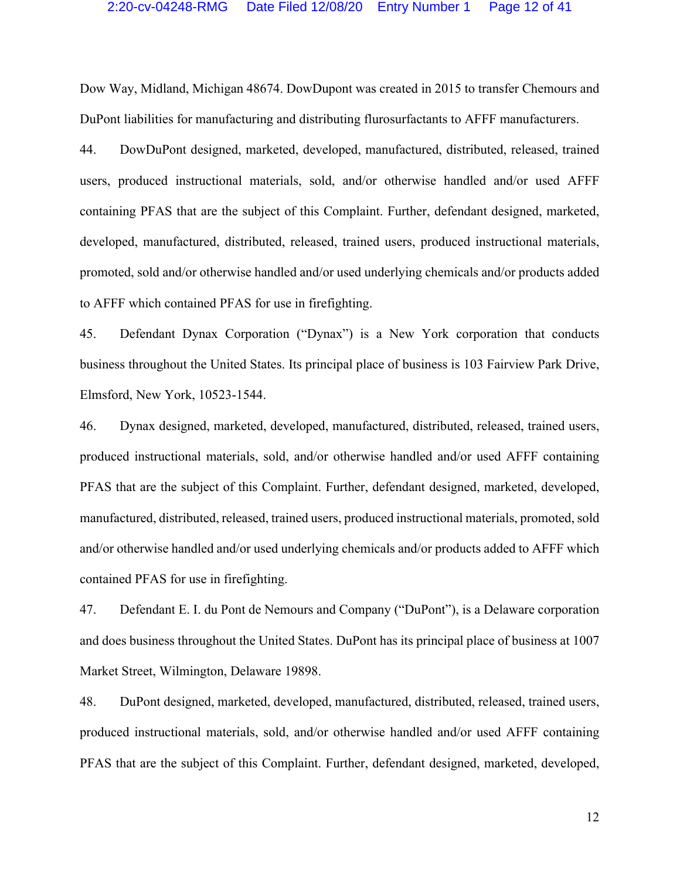## 2:20-cv-04248-RMG Date Filed 12/08/20 Entry Number 1 Page 12 of 41

Dow Way, Midland, Michigan 48674. DowDupont was created in 2015 to transfer Chemours and DuPont liabilities for manufacturing and distributing flurosurfactants to AFFF manufacturers.

44. DowDuPont designed, marketed, developed, manufactured, distributed, released, trained users, produced instructional materials, sold, and/or otherwise handled and/or used AFFF containing PFAS that are the subject of this Complaint. Further, defendant designed, marketed, developed, manufactured, distributed, released, trained users, produced instructional materials, promoted, sold and/or otherwise handled and/or used underlying chemicals and/or products added to AFFF which contained PFAS for use in firefighting.

45. Defendant Dynax Corporation ("Dynax") is a New York corporation that conducts business throughout the United States. Its principal place of business is 103 Fairview Park Drive, Elmsford, New York, 10523-1544.

46. Dynax designed, marketed, developed, manufactured, distributed, released, trained users, produced instructional materials, sold, and/or otherwise handled and/or used AFFF containing PFAS that are the subject of this Complaint. Further, defendant designed, marketed, developed, manufactured, distributed, released, trained users, produced instructional materials, promoted, sold and/or otherwise handled and/or used underlying chemicals and/or products added to AFFF which contained PFAS for use in firefighting.

47. Defendant E. I. du Pont de Nemours and Company ("DuPont"), is a Delaware corporation and does business throughout the United States. DuPont has its principal place of business at 1007 Market Street, Wilmington, Delaware 19898.

48. DuPont designed, marketed, developed, manufactured, distributed, released, trained users, produced instructional materials, sold, and/or otherwise handled and/or used AFFF containing PFAS that are the subject of this Complaint. Further, defendant designed, marketed, developed,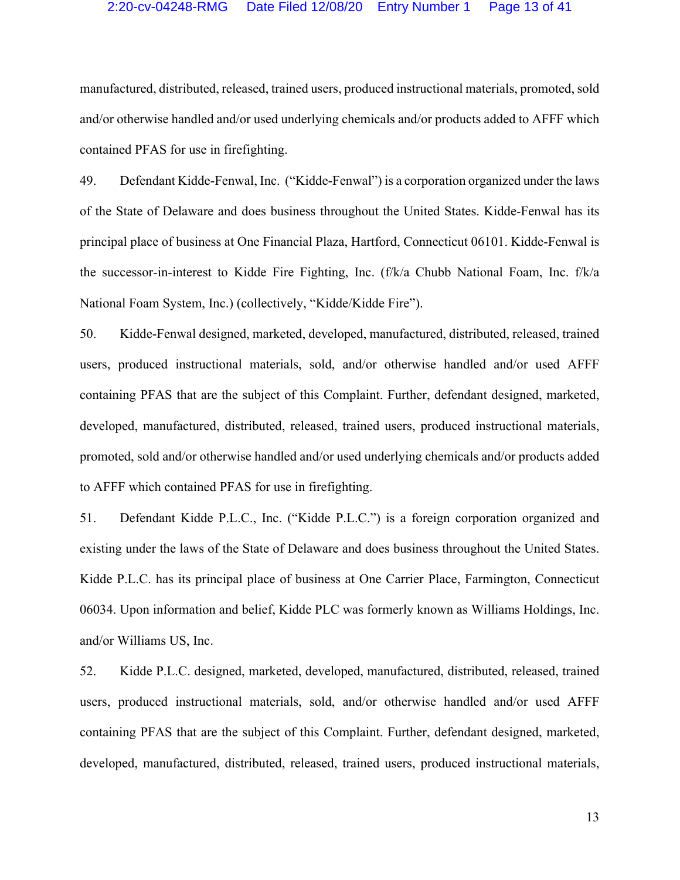# 2:20-cv-04248-RMG Date Filed 12/08/20 Entry Number 1 Page 13 of 41

manufactured, distributed, released, trained users, produced instructional materials, promoted, sold and/or otherwise handled and/or used underlying chemicals and/or products added to AFFF which contained PFAS for use in firefighting.

49. Defendant Kidde-Fenwal, Inc. ("Kidde-Fenwal") is a corporation organized under the laws of the State of Delaware and does business throughout the United States. Kidde-Fenwal has its principal place of business at One Financial Plaza, Hartford, Connecticut 06101. Kidde-Fenwal is the successor-in-interest to Kidde Fire Fighting, Inc. (f/k/a Chubb National Foam, Inc. f/k/a National Foam System, Inc.) (collectively, "Kidde/Kidde Fire").

50. Kidde-Fenwal designed, marketed, developed, manufactured, distributed, released, trained users, produced instructional materials, sold, and/or otherwise handled and/or used AFFF containing PFAS that are the subject of this Complaint. Further, defendant designed, marketed, developed, manufactured, distributed, released, trained users, produced instructional materials, promoted, sold and/or otherwise handled and/or used underlying chemicals and/or products added to AFFF which contained PFAS for use in firefighting.

51. Defendant Kidde P.L.C., Inc. ("Kidde P.L.C.") is a foreign corporation organized and existing under the laws of the State of Delaware and does business throughout the United States. Kidde P.L.C. has its principal place of business at One Carrier Place, Farmington, Connecticut 06034. Upon information and belief, Kidde PLC was formerly known as Williams Holdings, Inc. and/or Williams US, Inc.

52. Kidde P.L.C. designed, marketed, developed, manufactured, distributed, released, trained users, produced instructional materials, sold, and/or otherwise handled and/or used AFFF containing PFAS that are the subject of this Complaint. Further, defendant designed, marketed, developed, manufactured, distributed, released, trained users, produced instructional materials,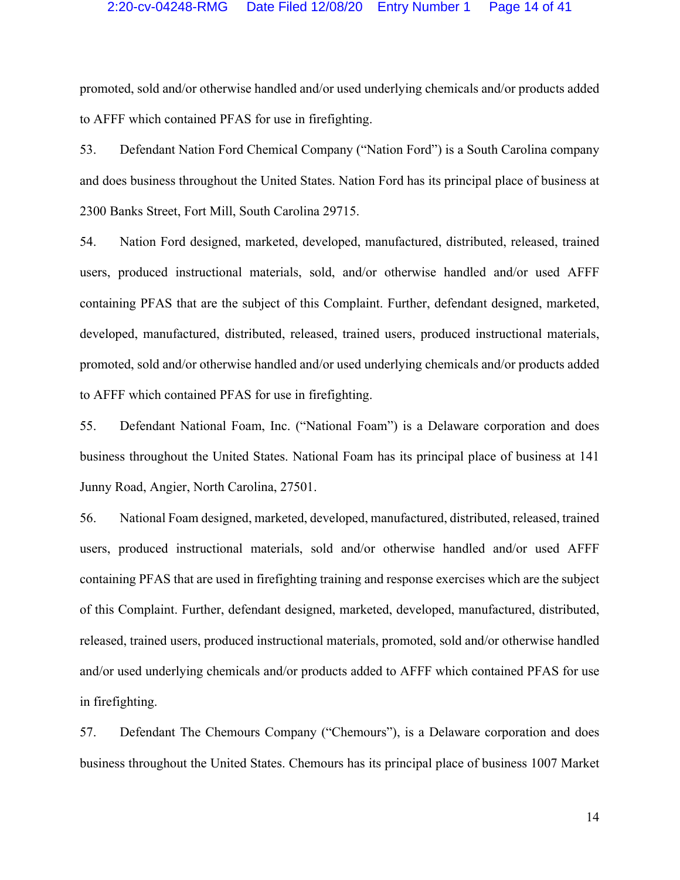#### 2:20-cv-04248-RMG Date Filed 12/08/20 Entry Number 1 Page 14 of 41

promoted, sold and/or otherwise handled and/or used underlying chemicals and/or products added to AFFF which contained PFAS for use in firefighting.

53. Defendant Nation Ford Chemical Company ("Nation Ford") is a South Carolina company and does business throughout the United States. Nation Ford has its principal place of business at 2300 Banks Street, Fort Mill, South Carolina 29715.

54. Nation Ford designed, marketed, developed, manufactured, distributed, released, trained users, produced instructional materials, sold, and/or otherwise handled and/or used AFFF containing PFAS that are the subject of this Complaint. Further, defendant designed, marketed, developed, manufactured, distributed, released, trained users, produced instructional materials, promoted, sold and/or otherwise handled and/or used underlying chemicals and/or products added to AFFF which contained PFAS for use in firefighting.

55. Defendant National Foam, Inc. ("National Foam") is a Delaware corporation and does business throughout the United States. National Foam has its principal place of business at 141 Junny Road, Angier, North Carolina, 27501.

56. National Foam designed, marketed, developed, manufactured, distributed, released, trained users, produced instructional materials, sold and/or otherwise handled and/or used AFFF containing PFAS that are used in firefighting training and response exercises which are the subject of this Complaint. Further, defendant designed, marketed, developed, manufactured, distributed, released, trained users, produced instructional materials, promoted, sold and/or otherwise handled and/or used underlying chemicals and/or products added to AFFF which contained PFAS for use in firefighting.

57. Defendant The Chemours Company ("Chemours"), is a Delaware corporation and does business throughout the United States. Chemours has its principal place of business 1007 Market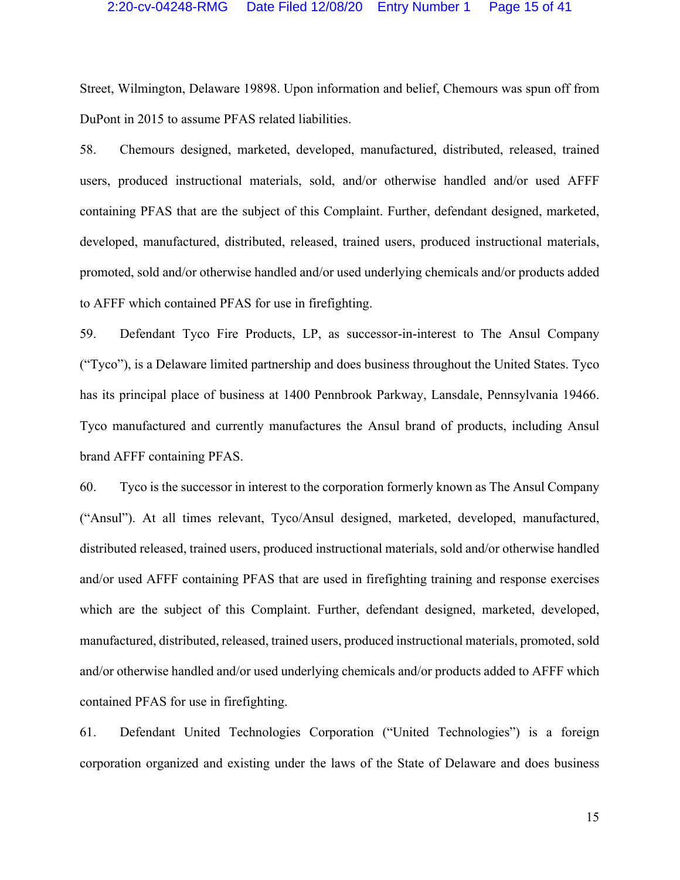Street, Wilmington, Delaware 19898. Upon information and belief, Chemours was spun off from DuPont in 2015 to assume PFAS related liabilities.

58. Chemours designed, marketed, developed, manufactured, distributed, released, trained users, produced instructional materials, sold, and/or otherwise handled and/or used AFFF containing PFAS that are the subject of this Complaint. Further, defendant designed, marketed, developed, manufactured, distributed, released, trained users, produced instructional materials, promoted, sold and/or otherwise handled and/or used underlying chemicals and/or products added to AFFF which contained PFAS for use in firefighting.

59. Defendant Tyco Fire Products, LP, as successor-in-interest to The Ansul Company ("Tyco"), is a Delaware limited partnership and does business throughout the United States. Tyco has its principal place of business at 1400 Pennbrook Parkway, Lansdale, Pennsylvania 19466. Tyco manufactured and currently manufactures the Ansul brand of products, including Ansul brand AFFF containing PFAS.

60. Tyco is the successor in interest to the corporation formerly known as The Ansul Company ("Ansul"). At all times relevant, Tyco/Ansul designed, marketed, developed, manufactured, distributed released, trained users, produced instructional materials, sold and/or otherwise handled and/or used AFFF containing PFAS that are used in firefighting training and response exercises which are the subject of this Complaint. Further, defendant designed, marketed, developed, manufactured, distributed, released, trained users, produced instructional materials, promoted, sold and/or otherwise handled and/or used underlying chemicals and/or products added to AFFF which contained PFAS for use in firefighting.

61. Defendant United Technologies Corporation ("United Technologies") is a foreign corporation organized and existing under the laws of the State of Delaware and does business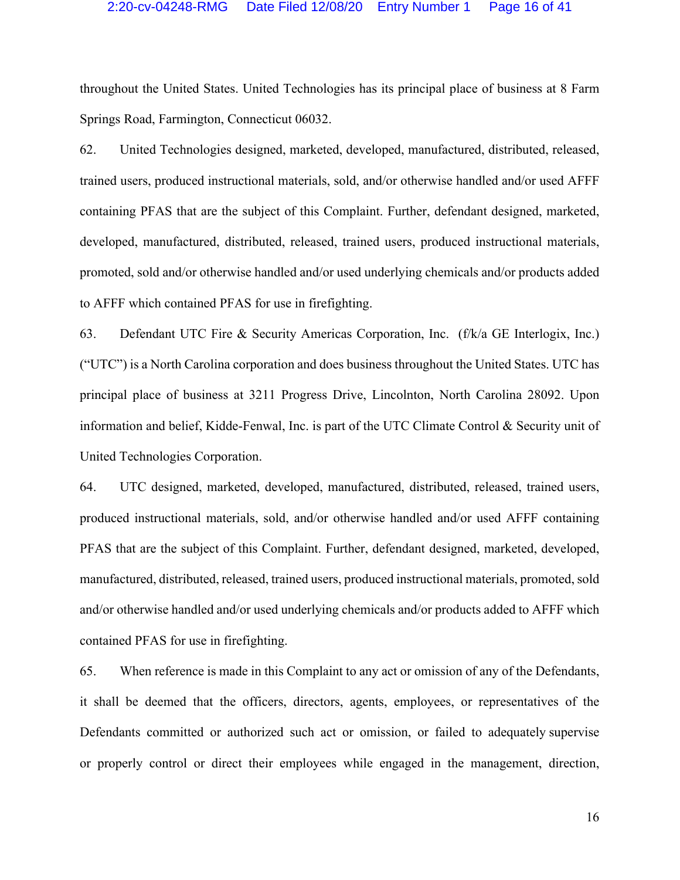#### 2:20-cv-04248-RMG Date Filed 12/08/20 Entry Number 1 Page 16 of 41

throughout the United States. United Technologies has its principal place of business at 8 Farm Springs Road, Farmington, Connecticut 06032.

62. United Technologies designed, marketed, developed, manufactured, distributed, released, trained users, produced instructional materials, sold, and/or otherwise handled and/or used AFFF containing PFAS that are the subject of this Complaint. Further, defendant designed, marketed, developed, manufactured, distributed, released, trained users, produced instructional materials, promoted, sold and/or otherwise handled and/or used underlying chemicals and/or products added to AFFF which contained PFAS for use in firefighting.

63. Defendant UTC Fire & Security Americas Corporation, Inc. (f/k/a GE Interlogix, Inc.) ("UTC") is a North Carolina corporation and does business throughout the United States. UTC has principal place of business at 3211 Progress Drive, Lincolnton, North Carolina 28092. Upon information and belief, Kidde-Fenwal, Inc. is part of the UTC Climate Control & Security unit of United Technologies Corporation.

64. UTC designed, marketed, developed, manufactured, distributed, released, trained users, produced instructional materials, sold, and/or otherwise handled and/or used AFFF containing PFAS that are the subject of this Complaint. Further, defendant designed, marketed, developed, manufactured, distributed, released, trained users, produced instructional materials, promoted, sold and/or otherwise handled and/or used underlying chemicals and/or products added to AFFF which contained PFAS for use in firefighting.

65. When reference is made in this Complaint to any act or omission of any of the Defendants, it shall be deemed that the officers, directors, agents, employees, or representatives of the Defendants committed or authorized such act or omission, or failed to adequately supervise or properly control or direct their employees while engaged in the management, direction,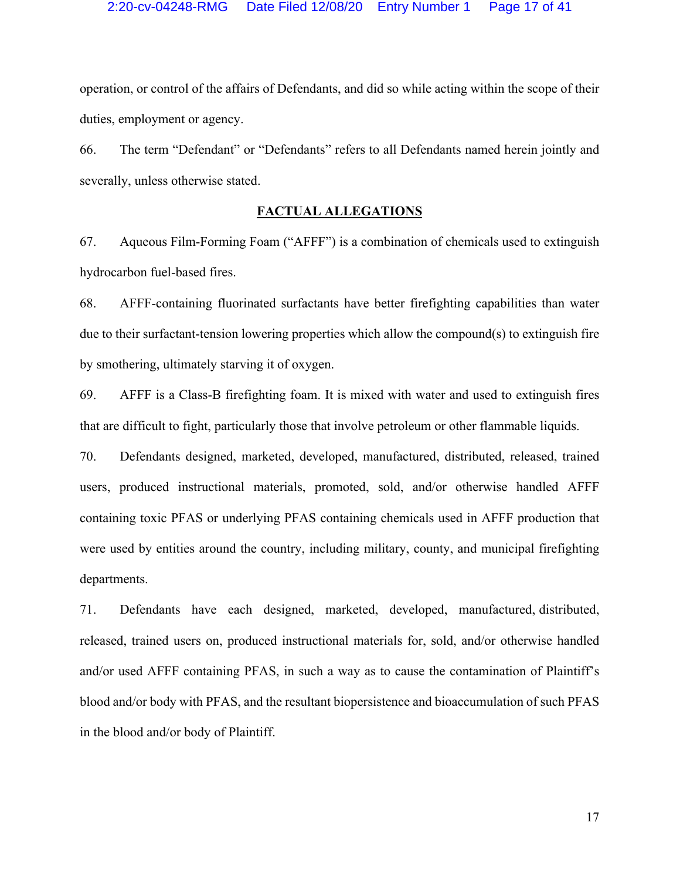operation, or control of the affairs of Defendants, and did so while acting within the scope of their duties, employment or agency.

66. The term "Defendant" or "Defendants" refers to all Defendants named herein jointly and severally, unless otherwise stated.

# **FACTUAL ALLEGATIONS**

67. Aqueous Film-Forming Foam ("AFFF") is a combination of chemicals used to extinguish hydrocarbon fuel-based fires.

68. AFFF-containing fluorinated surfactants have better firefighting capabilities than water due to their surfactant-tension lowering properties which allow the compound(s) to extinguish fire by smothering, ultimately starving it of oxygen.

69. AFFF is a Class-B firefighting foam. It is mixed with water and used to extinguish fires that are difficult to fight, particularly those that involve petroleum or other flammable liquids.

70. Defendants designed, marketed, developed, manufactured, distributed, released, trained users, produced instructional materials, promoted, sold, and/or otherwise handled AFFF containing toxic PFAS or underlying PFAS containing chemicals used in AFFF production that were used by entities around the country, including military, county, and municipal firefighting departments.

71. Defendants have each designed, marketed, developed, manufactured, distributed, released, trained users on, produced instructional materials for, sold, and/or otherwise handled and/or used AFFF containing PFAS, in such a way as to cause the contamination of Plaintiff's blood and/or body with PFAS, and the resultant biopersistence and bioaccumulation of such PFAS in the blood and/or body of Plaintiff.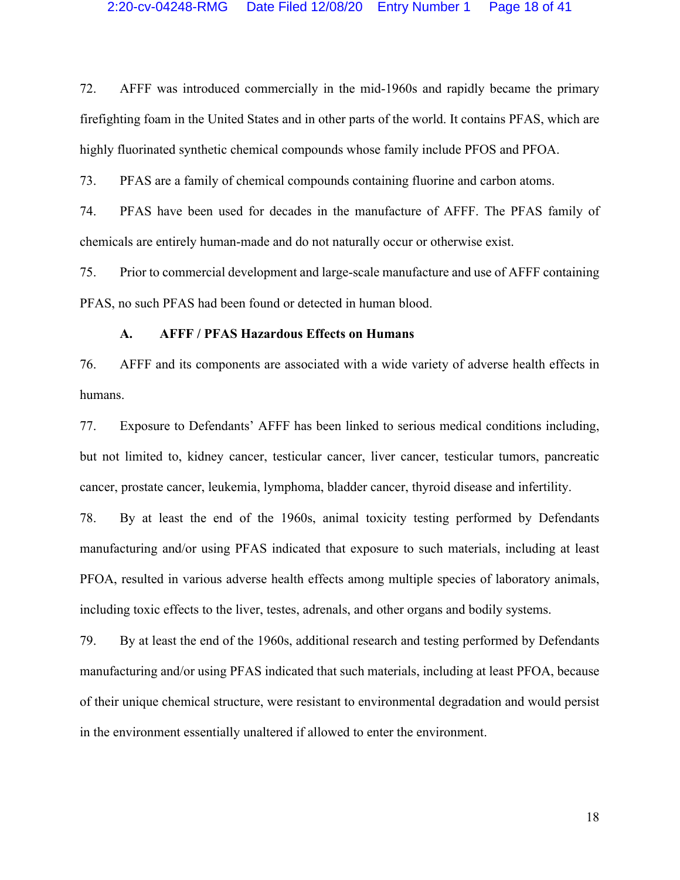72. AFFF was introduced commercially in the mid-1960s and rapidly became the primary firefighting foam in the United States and in other parts of the world. It contains PFAS, which are highly fluorinated synthetic chemical compounds whose family include PFOS and PFOA.

73. PFAS are a family of chemical compounds containing fluorine and carbon atoms.

74. PFAS have been used for decades in the manufacture of AFFF. The PFAS family of chemicals are entirely human-made and do not naturally occur or otherwise exist.

75. Prior to commercial development and large-scale manufacture and use of AFFF containing PFAS, no such PFAS had been found or detected in human blood.

# **A. AFFF / PFAS Hazardous Effects on Humans**

76. AFFF and its components are associated with a wide variety of adverse health effects in humans.

77. Exposure to Defendants' AFFF has been linked to serious medical conditions including, but not limited to, kidney cancer, testicular cancer, liver cancer, testicular tumors, pancreatic cancer, prostate cancer, leukemia, lymphoma, bladder cancer, thyroid disease and infertility.

78. By at least the end of the 1960s, animal toxicity testing performed by Defendants manufacturing and/or using PFAS indicated that exposure to such materials, including at least PFOA, resulted in various adverse health effects among multiple species of laboratory animals, including toxic effects to the liver, testes, adrenals, and other organs and bodily systems.

79. By at least the end of the 1960s, additional research and testing performed by Defendants manufacturing and/or using PFAS indicated that such materials, including at least PFOA, because of their unique chemical structure, were resistant to environmental degradation and would persist in the environment essentially unaltered if allowed to enter the environment.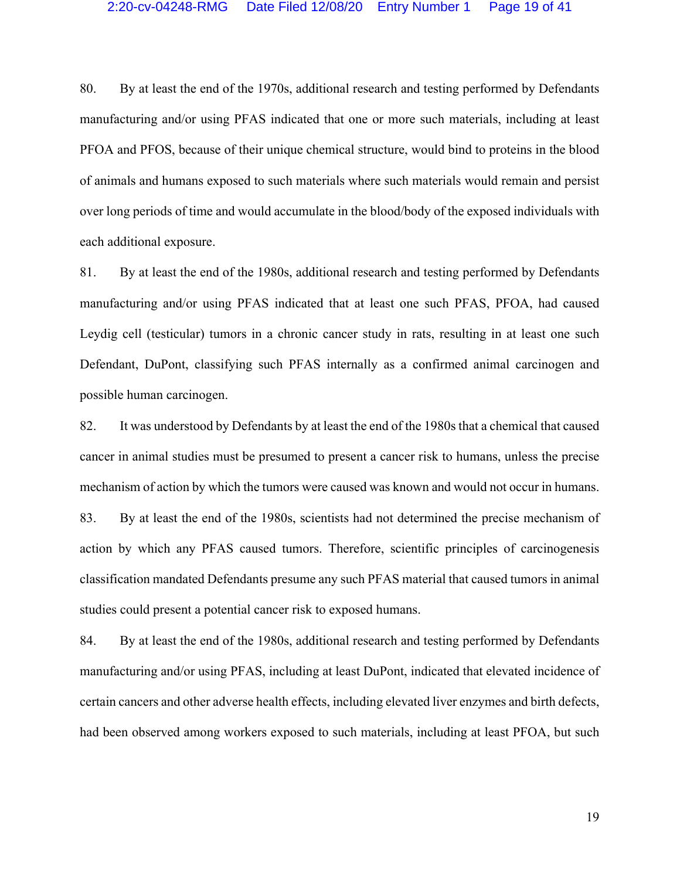80. By at least the end of the 1970s, additional research and testing performed by Defendants manufacturing and/or using PFAS indicated that one or more such materials, including at least PFOA and PFOS, because of their unique chemical structure, would bind to proteins in the blood of animals and humans exposed to such materials where such materials would remain and persist over long periods of time and would accumulate in the blood/body of the exposed individuals with each additional exposure.

81. By at least the end of the 1980s, additional research and testing performed by Defendants manufacturing and/or using PFAS indicated that at least one such PFAS, PFOA, had caused Leydig cell (testicular) tumors in a chronic cancer study in rats, resulting in at least one such Defendant, DuPont, classifying such PFAS internally as a confirmed animal carcinogen and possible human carcinogen.

82. It was understood by Defendants by at least the end of the 1980s that a chemical that caused cancer in animal studies must be presumed to present a cancer risk to humans, unless the precise mechanism of action by which the tumors were caused was known and would not occur in humans. 83. By at least the end of the 1980s, scientists had not determined the precise mechanism of action by which any PFAS caused tumors. Therefore, scientific principles of carcinogenesis classification mandated Defendants presume any such PFAS material that caused tumors in animal studies could present a potential cancer risk to exposed humans.

84. By at least the end of the 1980s, additional research and testing performed by Defendants manufacturing and/or using PFAS, including at least DuPont, indicated that elevated incidence of certain cancers and other adverse health effects, including elevated liver enzymes and birth defects, had been observed among workers exposed to such materials, including at least PFOA, but such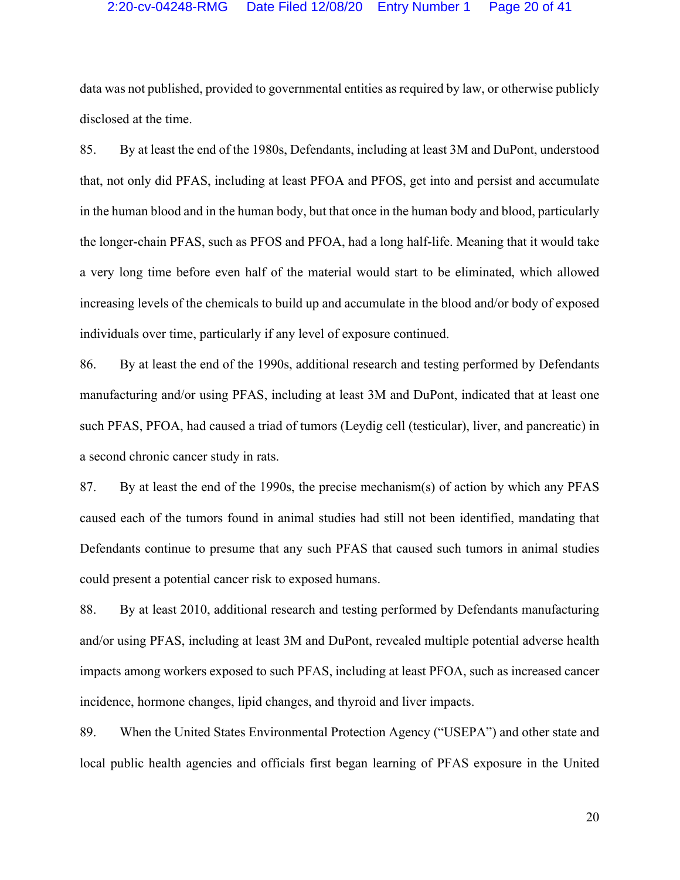## 2:20-cv-04248-RMG Date Filed 12/08/20 Entry Number 1 Page 20 of 41

data was not published, provided to governmental entities as required by law, or otherwise publicly disclosed at the time.

85. By at least the end of the 1980s, Defendants, including at least 3M and DuPont, understood that, not only did PFAS, including at least PFOA and PFOS, get into and persist and accumulate in the human blood and in the human body, but that once in the human body and blood, particularly the longer-chain PFAS, such as PFOS and PFOA, had a long half-life. Meaning that it would take a very long time before even half of the material would start to be eliminated, which allowed increasing levels of the chemicals to build up and accumulate in the blood and/or body of exposed individuals over time, particularly if any level of exposure continued.

86. By at least the end of the 1990s, additional research and testing performed by Defendants manufacturing and/or using PFAS, including at least 3M and DuPont, indicated that at least one such PFAS, PFOA, had caused a triad of tumors (Leydig cell (testicular), liver, and pancreatic) in a second chronic cancer study in rats.

87. By at least the end of the 1990s, the precise mechanism(s) of action by which any PFAS caused each of the tumors found in animal studies had still not been identified, mandating that Defendants continue to presume that any such PFAS that caused such tumors in animal studies could present a potential cancer risk to exposed humans.

88. By at least 2010, additional research and testing performed by Defendants manufacturing and/or using PFAS, including at least 3M and DuPont, revealed multiple potential adverse health impacts among workers exposed to such PFAS, including at least PFOA, such as increased cancer incidence, hormone changes, lipid changes, and thyroid and liver impacts.

89. When the United States Environmental Protection Agency ("USEPA") and other state and local public health agencies and officials first began learning of PFAS exposure in the United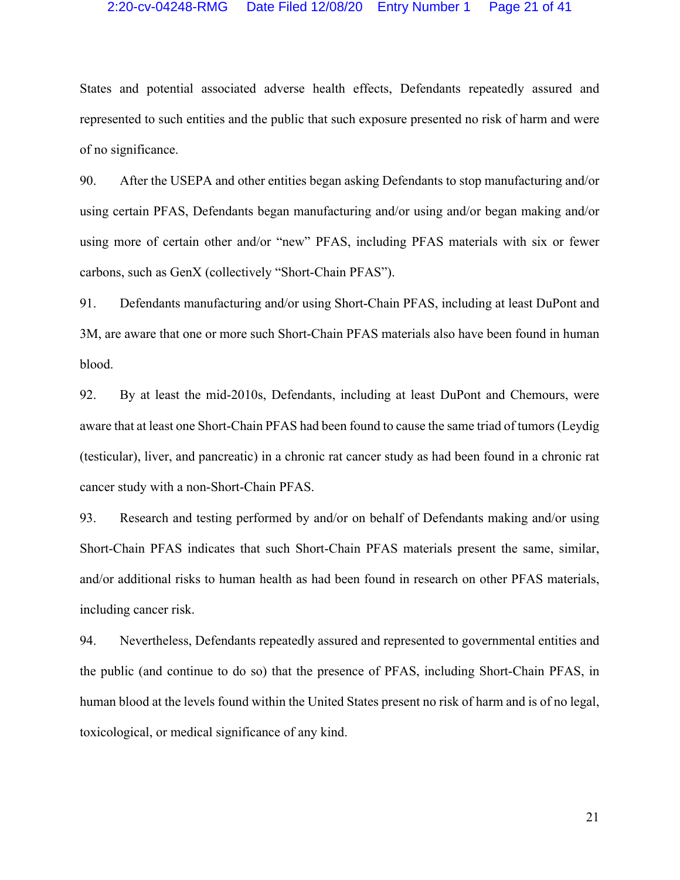## 2:20-cv-04248-RMG Date Filed 12/08/20 Entry Number 1 Page 21 of 41

States and potential associated adverse health effects, Defendants repeatedly assured and represented to such entities and the public that such exposure presented no risk of harm and were of no significance.

90. After the USEPA and other entities began asking Defendants to stop manufacturing and/or using certain PFAS, Defendants began manufacturing and/or using and/or began making and/or using more of certain other and/or "new" PFAS, including PFAS materials with six or fewer carbons, such as GenX (collectively "Short-Chain PFAS").

91. Defendants manufacturing and/or using Short-Chain PFAS, including at least DuPont and 3M, are aware that one or more such Short-Chain PFAS materials also have been found in human blood.

92. By at least the mid-2010s, Defendants, including at least DuPont and Chemours, were aware that at least one Short-Chain PFAS had been found to cause the same triad of tumors (Leydig (testicular), liver, and pancreatic) in a chronic rat cancer study as had been found in a chronic rat cancer study with a non-Short-Chain PFAS.

93. Research and testing performed by and/or on behalf of Defendants making and/or using Short-Chain PFAS indicates that such Short-Chain PFAS materials present the same, similar, and/or additional risks to human health as had been found in research on other PFAS materials, including cancer risk.

94. Nevertheless, Defendants repeatedly assured and represented to governmental entities and the public (and continue to do so) that the presence of PFAS, including Short-Chain PFAS, in human blood at the levels found within the United States present no risk of harm and is of no legal, toxicological, or medical significance of any kind.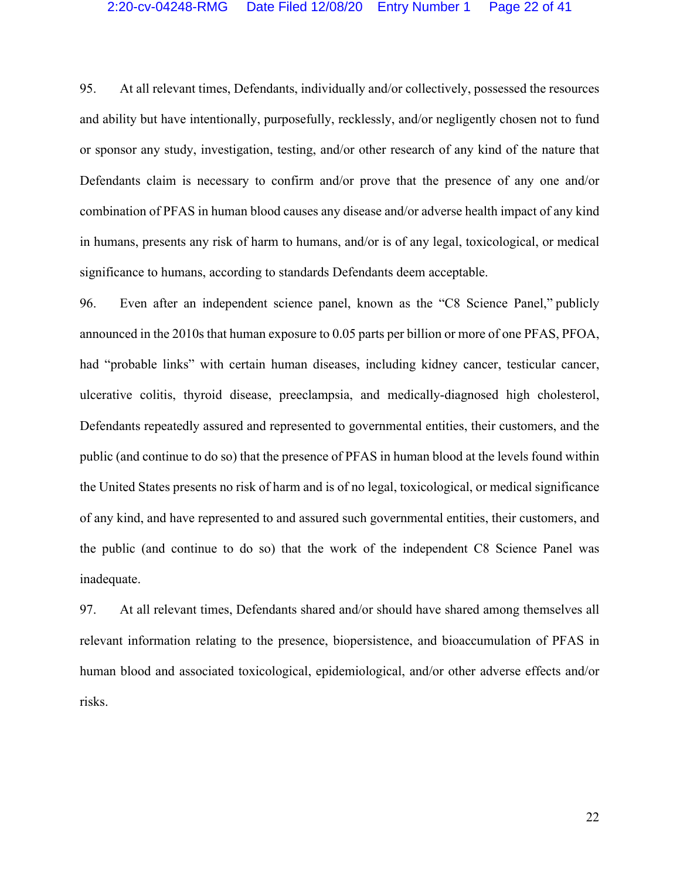## 2:20-cv-04248-RMG Date Filed 12/08/20 Entry Number 1 Page 22 of 41

95. At all relevant times, Defendants, individually and/or collectively, possessed the resources and ability but have intentionally, purposefully, recklessly, and/or negligently chosen not to fund or sponsor any study, investigation, testing, and/or other research of any kind of the nature that Defendants claim is necessary to confirm and/or prove that the presence of any one and/or combination of PFAS in human blood causes any disease and/or adverse health impact of any kind in humans, presents any risk of harm to humans, and/or is of any legal, toxicological, or medical significance to humans, according to standards Defendants deem acceptable.

96. Even after an independent science panel, known as the "C8 Science Panel," publicly announced in the 2010s that human exposure to 0.05 parts per billion or more of one PFAS, PFOA, had "probable links" with certain human diseases, including kidney cancer, testicular cancer, ulcerative colitis, thyroid disease, preeclampsia, and medically-diagnosed high cholesterol, Defendants repeatedly assured and represented to governmental entities, their customers, and the public (and continue to do so) that the presence of PFAS in human blood at the levels found within the United States presents no risk of harm and is of no legal, toxicological, or medical significance of any kind, and have represented to and assured such governmental entities, their customers, and the public (and continue to do so) that the work of the independent C8 Science Panel was inadequate.

97. At all relevant times, Defendants shared and/or should have shared among themselves all relevant information relating to the presence, biopersistence, and bioaccumulation of PFAS in human blood and associated toxicological, epidemiological, and/or other adverse effects and/or risks.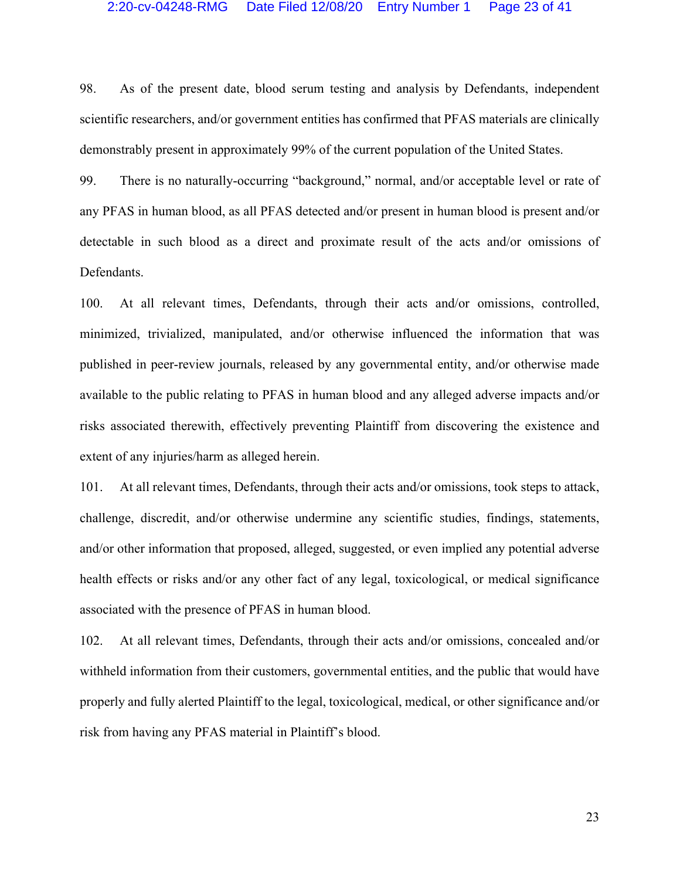## 2:20-cv-04248-RMG Date Filed 12/08/20 Entry Number 1 Page 23 of 41

98. As of the present date, blood serum testing and analysis by Defendants, independent scientific researchers, and/or government entities has confirmed that PFAS materials are clinically demonstrably present in approximately 99% of the current population of the United States.

99. There is no naturally-occurring "background," normal, and/or acceptable level or rate of any PFAS in human blood, as all PFAS detected and/or present in human blood is present and/or detectable in such blood as a direct and proximate result of the acts and/or omissions of Defendants.

100. At all relevant times, Defendants, through their acts and/or omissions, controlled, minimized, trivialized, manipulated, and/or otherwise influenced the information that was published in peer-review journals, released by any governmental entity, and/or otherwise made available to the public relating to PFAS in human blood and any alleged adverse impacts and/or risks associated therewith, effectively preventing Plaintiff from discovering the existence and extent of any injuries/harm as alleged herein.

101. At all relevant times, Defendants, through their acts and/or omissions, took steps to attack, challenge, discredit, and/or otherwise undermine any scientific studies, findings, statements, and/or other information that proposed, alleged, suggested, or even implied any potential adverse health effects or risks and/or any other fact of any legal, toxicological, or medical significance associated with the presence of PFAS in human blood.

102. At all relevant times, Defendants, through their acts and/or omissions, concealed and/or withheld information from their customers, governmental entities, and the public that would have properly and fully alerted Plaintiff to the legal, toxicological, medical, or other significance and/or risk from having any PFAS material in Plaintiff's blood.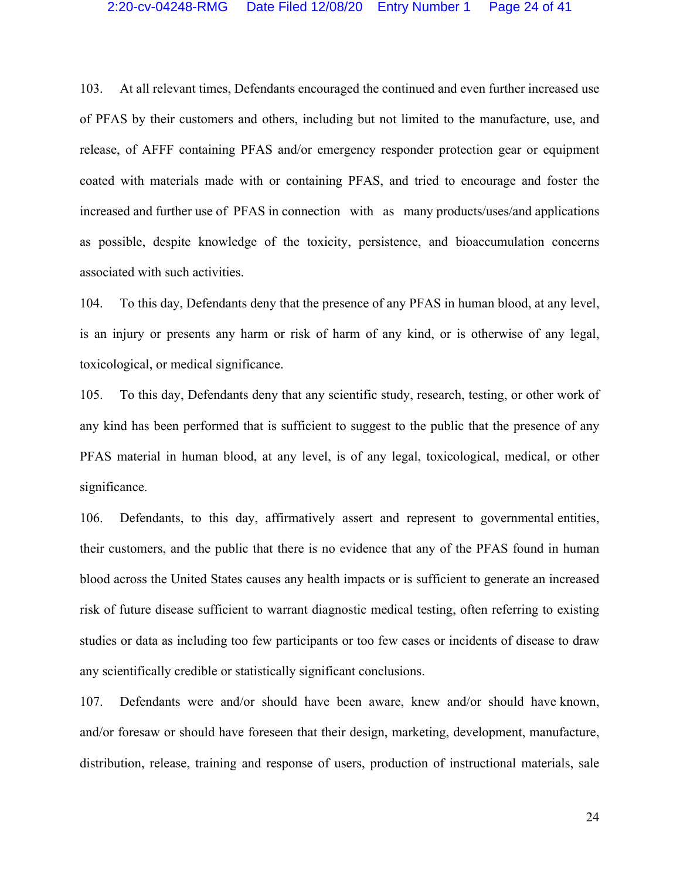## 2:20-cv-04248-RMG Date Filed 12/08/20 Entry Number 1 Page 24 of 41

103. At all relevant times, Defendants encouraged the continued and even further increased use of PFAS by their customers and others, including but not limited to the manufacture, use, and release, of AFFF containing PFAS and/or emergency responder protection gear or equipment coated with materials made with or containing PFAS, and tried to encourage and foster the increased and further use of PFAS in connection with as many products/uses/and applications as possible, despite knowledge of the toxicity, persistence, and bioaccumulation concerns associated with such activities.

104. To this day, Defendants deny that the presence of any PFAS in human blood, at any level, is an injury or presents any harm or risk of harm of any kind, or is otherwise of any legal, toxicological, or medical significance.

105. To this day, Defendants deny that any scientific study, research, testing, or other work of any kind has been performed that is sufficient to suggest to the public that the presence of any PFAS material in human blood, at any level, is of any legal, toxicological, medical, or other significance.

106. Defendants, to this day, affirmatively assert and represent to governmental entities, their customers, and the public that there is no evidence that any of the PFAS found in human blood across the United States causes any health impacts or is sufficient to generate an increased risk of future disease sufficient to warrant diagnostic medical testing, often referring to existing studies or data as including too few participants or too few cases or incidents of disease to draw any scientifically credible or statistically significant conclusions.

107. Defendants were and/or should have been aware, knew and/or should have known, and/or foresaw or should have foreseen that their design, marketing, development, manufacture, distribution, release, training and response of users, production of instructional materials, sale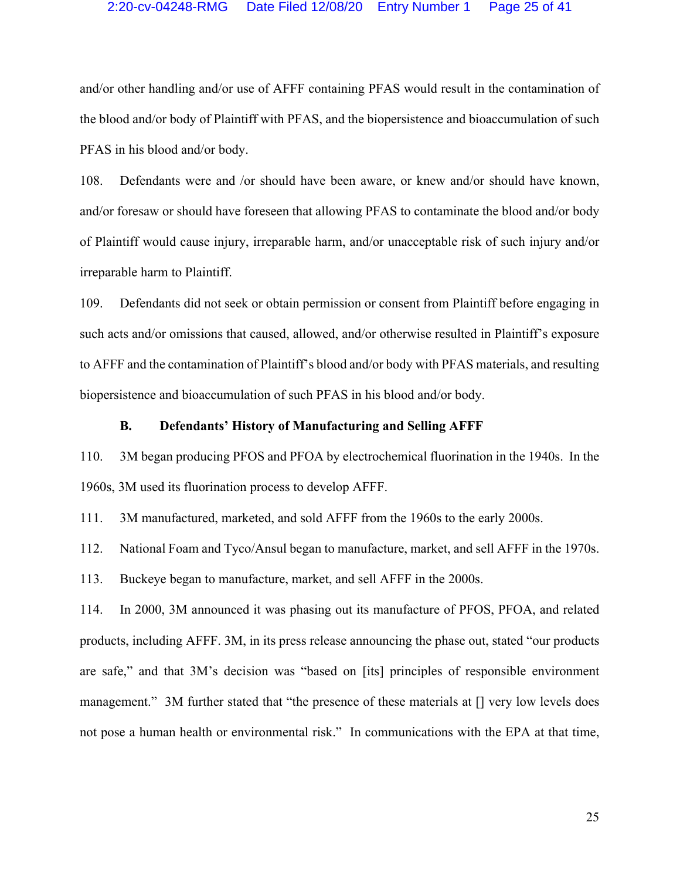# 2:20-cv-04248-RMG Date Filed 12/08/20 Entry Number 1 Page 25 of 41

and/or other handling and/or use of AFFF containing PFAS would result in the contamination of the blood and/or body of Plaintiff with PFAS, and the biopersistence and bioaccumulation of such PFAS in his blood and/or body.

108. Defendants were and /or should have been aware, or knew and/or should have known, and/or foresaw or should have foreseen that allowing PFAS to contaminate the blood and/or body of Plaintiff would cause injury, irreparable harm, and/or unacceptable risk of such injury and/or irreparable harm to Plaintiff.

109. Defendants did not seek or obtain permission or consent from Plaintiff before engaging in such acts and/or omissions that caused, allowed, and/or otherwise resulted in Plaintiff's exposure to AFFF and the contamination of Plaintiff's blood and/or body with PFAS materials, and resulting biopersistence and bioaccumulation of such PFAS in his blood and/or body.

# **B. Defendants' History of Manufacturing and Selling AFFF**

110. 3M began producing PFOS and PFOA by electrochemical fluorination in the 1940s. In the 1960s, 3M used its fluorination process to develop AFFF.

111. 3M manufactured, marketed, and sold AFFF from the 1960s to the early 2000s.

112. National Foam and Tyco/Ansul began to manufacture, market, and sell AFFF in the 1970s.

113. Buckeye began to manufacture, market, and sell AFFF in the 2000s.

114. In 2000, 3M announced it was phasing out its manufacture of PFOS, PFOA, and related products, including AFFF. 3M, in its press release announcing the phase out, stated "our products are safe," and that 3M's decision was "based on [its] principles of responsible environment management." 3M further stated that "the presence of these materials at [] very low levels does not pose a human health or environmental risk." In communications with the EPA at that time,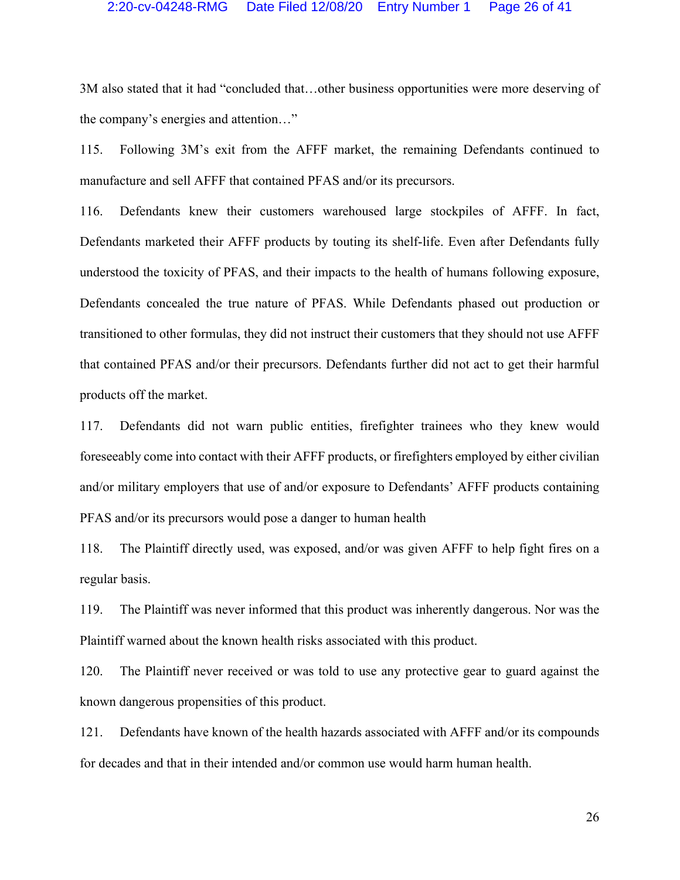#### 2:20-cv-04248-RMG Date Filed 12/08/20 Entry Number 1 Page 26 of 41

3M also stated that it had "concluded that…other business opportunities were more deserving of the company's energies and attention…"

115. Following 3M's exit from the AFFF market, the remaining Defendants continued to manufacture and sell AFFF that contained PFAS and/or its precursors.

116. Defendants knew their customers warehoused large stockpiles of AFFF. In fact, Defendants marketed their AFFF products by touting its shelf-life. Even after Defendants fully understood the toxicity of PFAS, and their impacts to the health of humans following exposure, Defendants concealed the true nature of PFAS. While Defendants phased out production or transitioned to other formulas, they did not instruct their customers that they should not use AFFF that contained PFAS and/or their precursors. Defendants further did not act to get their harmful products off the market.

117. Defendants did not warn public entities, firefighter trainees who they knew would foreseeably come into contact with their AFFF products, or firefighters employed by either civilian and/or military employers that use of and/or exposure to Defendants' AFFF products containing PFAS and/or its precursors would pose a danger to human health

118. The Plaintiff directly used, was exposed, and/or was given AFFF to help fight fires on a regular basis.

119. The Plaintiff was never informed that this product was inherently dangerous. Nor was the Plaintiff warned about the known health risks associated with this product.

120. The Plaintiff never received or was told to use any protective gear to guard against the known dangerous propensities of this product.

121. Defendants have known of the health hazards associated with AFFF and/or its compounds for decades and that in their intended and/or common use would harm human health.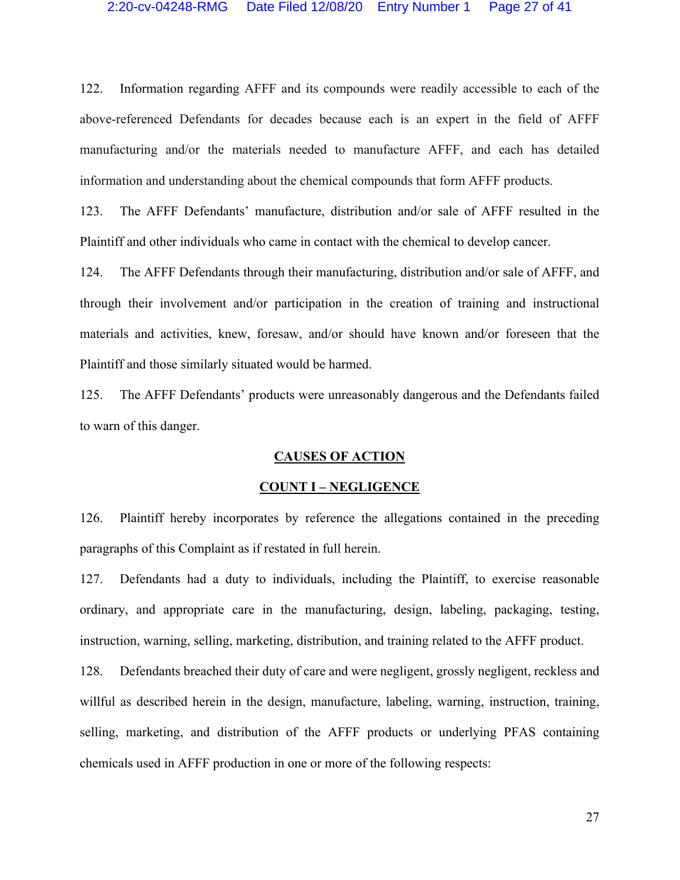122. Information regarding AFFF and its compounds were readily accessible to each of the above-referenced Defendants for decades because each is an expert in the field of AFFF manufacturing and/or the materials needed to manufacture AFFF, and each has detailed information and understanding about the chemical compounds that form AFFF products.

123. The AFFF Defendants' manufacture, distribution and/or sale of AFFF resulted in the Plaintiff and other individuals who came in contact with the chemical to develop cancer.

124. The AFFF Defendants through their manufacturing, distribution and/or sale of AFFF, and through their involvement and/or participation in the creation of training and instructional materials and activities, knew, foresaw, and/or should have known and/or foreseen that the Plaintiff and those similarly situated would be harmed.

125. The AFFF Defendants' products were unreasonably dangerous and the Defendants failed to warn of this danger.

#### **CAUSES OF ACTION**

#### **COUNT I – NEGLIGENCE**

126. Plaintiff hereby incorporates by reference the allegations contained in the preceding paragraphs of this Complaint as if restated in full herein.

127. Defendants had a duty to individuals, including the Plaintiff, to exercise reasonable ordinary, and appropriate care in the manufacturing, design, labeling, packaging, testing, instruction, warning, selling, marketing, distribution, and training related to the AFFF product.

128. Defendants breached their duty of care and were negligent, grossly negligent, reckless and willful as described herein in the design, manufacture, labeling, warning, instruction, training, selling, marketing, and distribution of the AFFF products or underlying PFAS containing chemicals used in AFFF production in one or more of the following respects: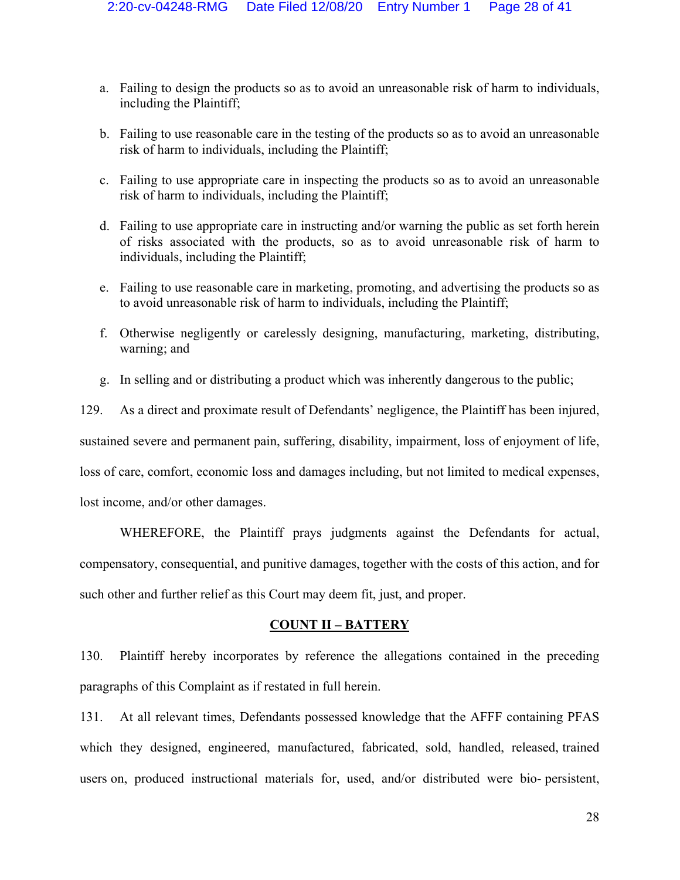- a. Failing to design the products so as to avoid an unreasonable risk of harm to individuals, including the Plaintiff;
- b. Failing to use reasonable care in the testing of the products so as to avoid an unreasonable risk of harm to individuals, including the Plaintiff;
- c. Failing to use appropriate care in inspecting the products so as to avoid an unreasonable risk of harm to individuals, including the Plaintiff;
- d. Failing to use appropriate care in instructing and/or warning the public as set forth herein of risks associated with the products, so as to avoid unreasonable risk of harm to individuals, including the Plaintiff;
- e. Failing to use reasonable care in marketing, promoting, and advertising the products so as to avoid unreasonable risk of harm to individuals, including the Plaintiff;
- f. Otherwise negligently or carelessly designing, manufacturing, marketing, distributing, warning; and
- g. In selling and or distributing a product which was inherently dangerous to the public;

129. As a direct and proximate result of Defendants' negligence, the Plaintiff has been injured, sustained severe and permanent pain, suffering, disability, impairment, loss of enjoyment of life, loss of care, comfort, economic loss and damages including, but not limited to medical expenses, lost income, and/or other damages.

WHEREFORE, the Plaintiff prays judgments against the Defendants for actual, compensatory, consequential, and punitive damages, together with the costs of this action, and for such other and further relief as this Court may deem fit, just, and proper.

# **COUNT II – BATTERY**

130. Plaintiff hereby incorporates by reference the allegations contained in the preceding paragraphs of this Complaint as if restated in full herein.

131. At all relevant times, Defendants possessed knowledge that the AFFF containing PFAS which they designed, engineered, manufactured, fabricated, sold, handled, released, trained users on, produced instructional materials for, used, and/or distributed were bio- persistent,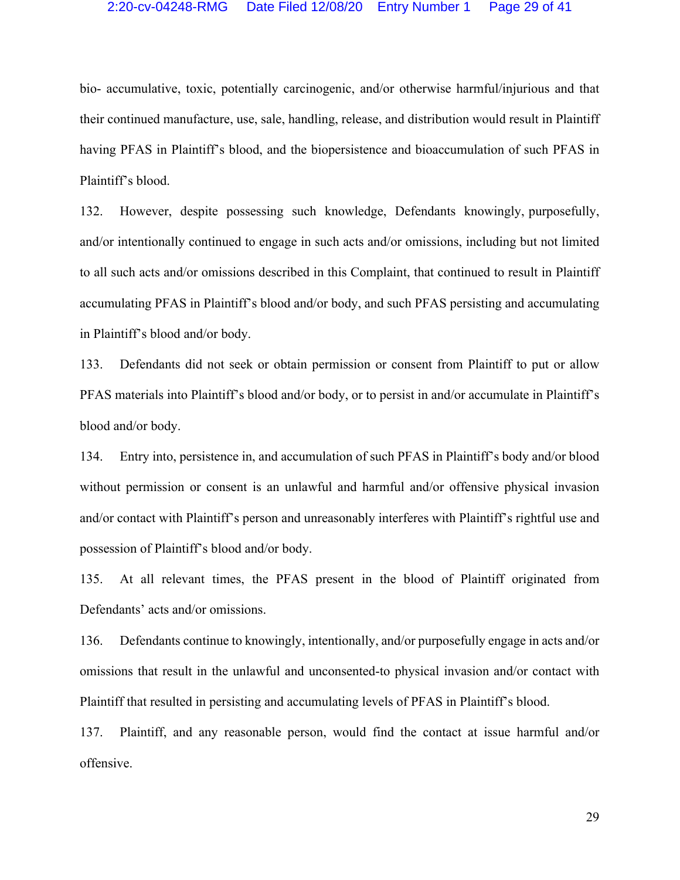## 2:20-cv-04248-RMG Date Filed 12/08/20 Entry Number 1 Page 29 of 41

bio- accumulative, toxic, potentially carcinogenic, and/or otherwise harmful/injurious and that their continued manufacture, use, sale, handling, release, and distribution would result in Plaintiff having PFAS in Plaintiff's blood, and the biopersistence and bioaccumulation of such PFAS in Plaintiff's blood.

132. However, despite possessing such knowledge, Defendants knowingly, purposefully, and/or intentionally continued to engage in such acts and/or omissions, including but not limited to all such acts and/or omissions described in this Complaint, that continued to result in Plaintiff accumulating PFAS in Plaintiff's blood and/or body, and such PFAS persisting and accumulating in Plaintiff's blood and/or body.

133. Defendants did not seek or obtain permission or consent from Plaintiff to put or allow PFAS materials into Plaintiff's blood and/or body, or to persist in and/or accumulate in Plaintiff's blood and/or body.

134. Entry into, persistence in, and accumulation of such PFAS in Plaintiff's body and/or blood without permission or consent is an unlawful and harmful and/or offensive physical invasion and/or contact with Plaintiff's person and unreasonably interferes with Plaintiff's rightful use and possession of Plaintiff's blood and/or body.

135. At all relevant times, the PFAS present in the blood of Plaintiff originated from Defendants' acts and/or omissions.

136. Defendants continue to knowingly, intentionally, and/or purposefully engage in acts and/or omissions that result in the unlawful and unconsented-to physical invasion and/or contact with Plaintiff that resulted in persisting and accumulating levels of PFAS in Plaintiff's blood.

137. Plaintiff, and any reasonable person, would find the contact at issue harmful and/or offensive.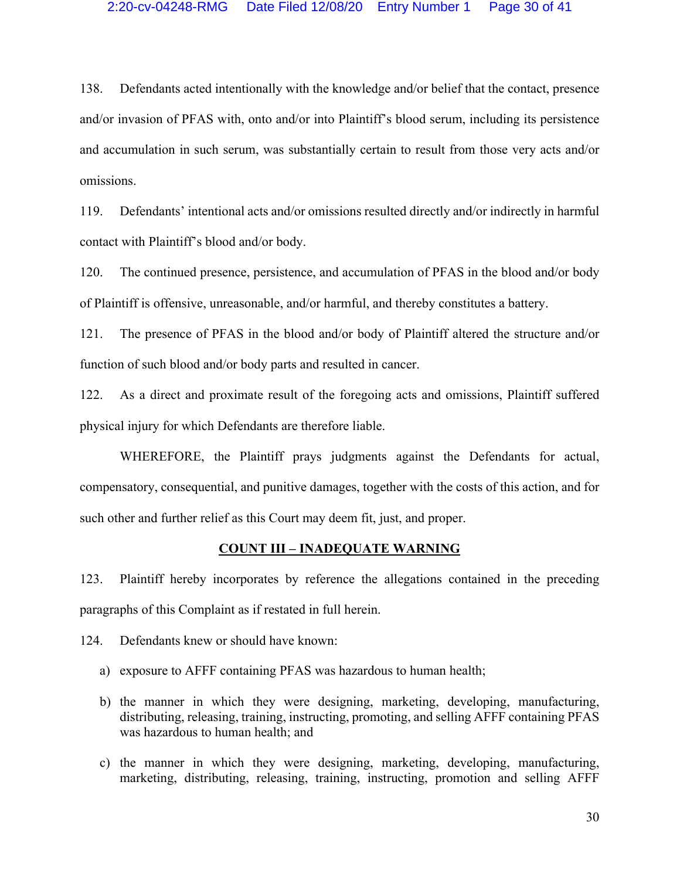138. Defendants acted intentionally with the knowledge and/or belief that the contact, presence and/or invasion of PFAS with, onto and/or into Plaintiff's blood serum, including its persistence and accumulation in such serum, was substantially certain to result from those very acts and/or omissions.

119. Defendants' intentional acts and/or omissions resulted directly and/or indirectly in harmful contact with Plaintiff's blood and/or body.

120. The continued presence, persistence, and accumulation of PFAS in the blood and/or body of Plaintiff is offensive, unreasonable, and/or harmful, and thereby constitutes a battery.

121. The presence of PFAS in the blood and/or body of Plaintiff altered the structure and/or function of such blood and/or body parts and resulted in cancer.

122. As a direct and proximate result of the foregoing acts and omissions, Plaintiff suffered physical injury for which Defendants are therefore liable.

WHEREFORE, the Plaintiff prays judgments against the Defendants for actual, compensatory, consequential, and punitive damages, together with the costs of this action, and for such other and further relief as this Court may deem fit, just, and proper.

#### **COUNT III – INADEQUATE WARNING**

123. Plaintiff hereby incorporates by reference the allegations contained in the preceding paragraphs of this Complaint as if restated in full herein.

124. Defendants knew or should have known:

- a) exposure to AFFF containing PFAS was hazardous to human health;
- b) the manner in which they were designing, marketing, developing, manufacturing, distributing, releasing, training, instructing, promoting, and selling AFFF containing PFAS was hazardous to human health; and
- c) the manner in which they were designing, marketing, developing, manufacturing, marketing, distributing, releasing, training, instructing, promotion and selling AFFF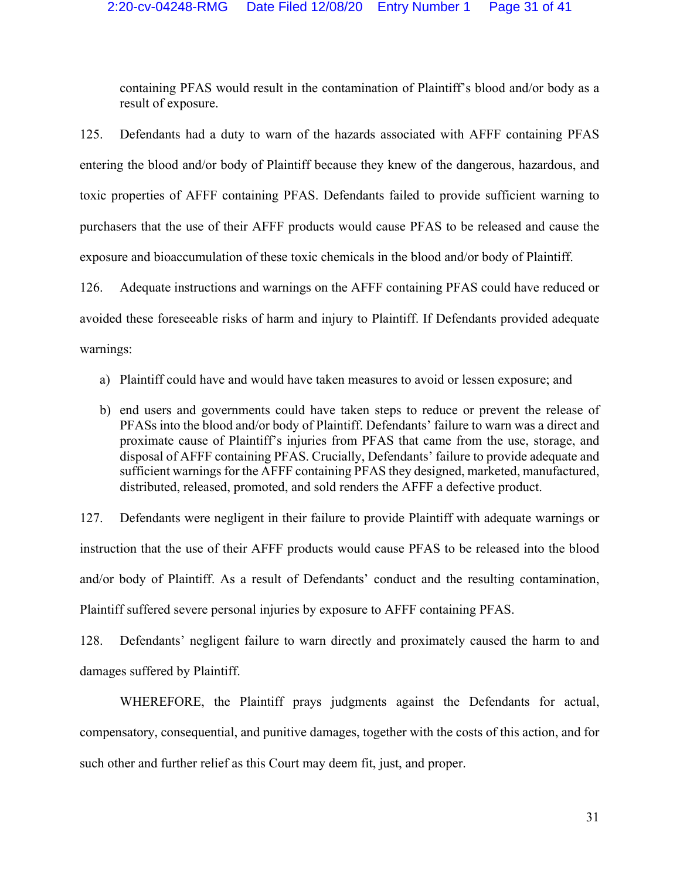containing PFAS would result in the contamination of Plaintiff's blood and/or body as a result of exposure.

125. Defendants had a duty to warn of the hazards associated with AFFF containing PFAS entering the blood and/or body of Plaintiff because they knew of the dangerous, hazardous, and toxic properties of AFFF containing PFAS. Defendants failed to provide sufficient warning to purchasers that the use of their AFFF products would cause PFAS to be released and cause the exposure and bioaccumulation of these toxic chemicals in the blood and/or body of Plaintiff.

126. Adequate instructions and warnings on the AFFF containing PFAS could have reduced or avoided these foreseeable risks of harm and injury to Plaintiff. If Defendants provided adequate warnings:

- a) Plaintiff could have and would have taken measures to avoid or lessen exposure; and
- b) end users and governments could have taken steps to reduce or prevent the release of PFASs into the blood and/or body of Plaintiff. Defendants' failure to warn was a direct and proximate cause of Plaintiff's injuries from PFAS that came from the use, storage, and disposal of AFFF containing PFAS. Crucially, Defendants' failure to provide adequate and sufficient warnings for the AFFF containing PFAS they designed, marketed, manufactured, distributed, released, promoted, and sold renders the AFFF a defective product.

127. Defendants were negligent in their failure to provide Plaintiff with adequate warnings or instruction that the use of their AFFF products would cause PFAS to be released into the blood and/or body of Plaintiff. As a result of Defendants' conduct and the resulting contamination, Plaintiff suffered severe personal injuries by exposure to AFFF containing PFAS.

128. Defendants' negligent failure to warn directly and proximately caused the harm to and damages suffered by Plaintiff.

WHEREFORE, the Plaintiff prays judgments against the Defendants for actual, compensatory, consequential, and punitive damages, together with the costs of this action, and for such other and further relief as this Court may deem fit, just, and proper.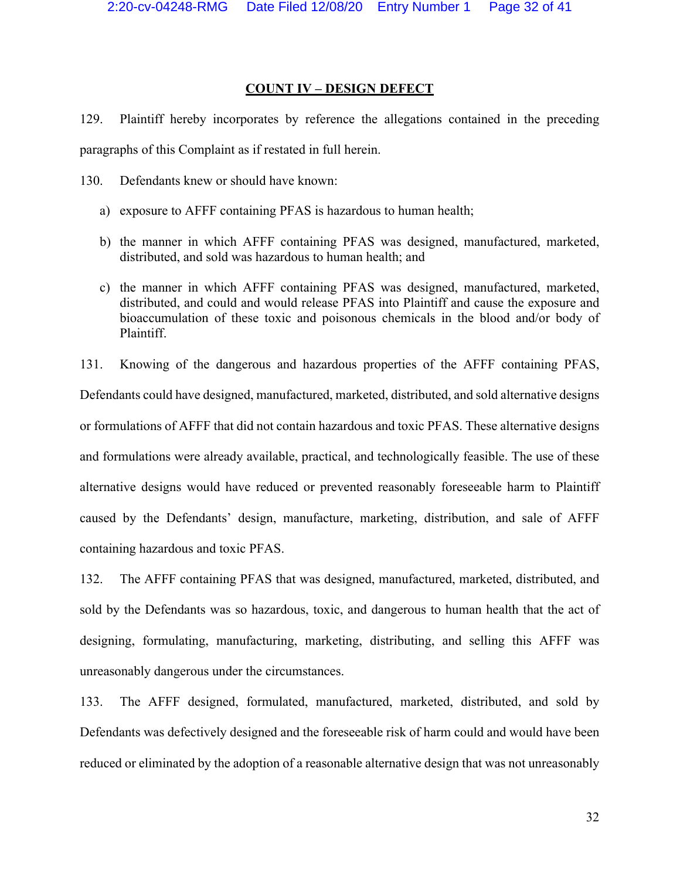# **COUNT IV – DESIGN DEFECT**

129. Plaintiff hereby incorporates by reference the allegations contained in the preceding paragraphs of this Complaint as if restated in full herein.

130. Defendants knew or should have known:

- a) exposure to AFFF containing PFAS is hazardous to human health;
- b) the manner in which AFFF containing PFAS was designed, manufactured, marketed, distributed, and sold was hazardous to human health; and
- c) the manner in which AFFF containing PFAS was designed, manufactured, marketed, distributed, and could and would release PFAS into Plaintiff and cause the exposure and bioaccumulation of these toxic and poisonous chemicals in the blood and/or body of Plaintiff.

131. Knowing of the dangerous and hazardous properties of the AFFF containing PFAS, Defendants could have designed, manufactured, marketed, distributed, and sold alternative designs or formulations of AFFF that did not contain hazardous and toxic PFAS. These alternative designs and formulations were already available, practical, and technologically feasible. The use of these alternative designs would have reduced or prevented reasonably foreseeable harm to Plaintiff caused by the Defendants' design, manufacture, marketing, distribution, and sale of AFFF containing hazardous and toxic PFAS.

132. The AFFF containing PFAS that was designed, manufactured, marketed, distributed, and sold by the Defendants was so hazardous, toxic, and dangerous to human health that the act of designing, formulating, manufacturing, marketing, distributing, and selling this AFFF was unreasonably dangerous under the circumstances.

133. The AFFF designed, formulated, manufactured, marketed, distributed, and sold by Defendants was defectively designed and the foreseeable risk of harm could and would have been reduced or eliminated by the adoption of a reasonable alternative design that was not unreasonably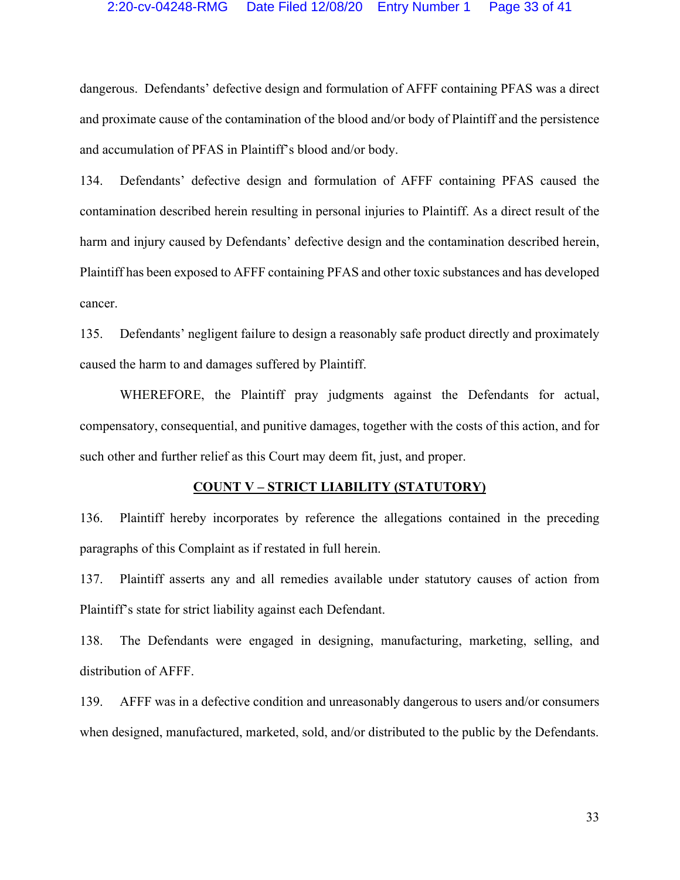# 2:20-cv-04248-RMG Date Filed 12/08/20 Entry Number 1 Page 33 of 41

dangerous. Defendants' defective design and formulation of AFFF containing PFAS was a direct and proximate cause of the contamination of the blood and/or body of Plaintiff and the persistence and accumulation of PFAS in Plaintiff's blood and/or body.

134. Defendants' defective design and formulation of AFFF containing PFAS caused the contamination described herein resulting in personal injuries to Plaintiff. As a direct result of the harm and injury caused by Defendants' defective design and the contamination described herein, Plaintiff has been exposed to AFFF containing PFAS and other toxic substances and has developed cancer.

135. Defendants' negligent failure to design a reasonably safe product directly and proximately caused the harm to and damages suffered by Plaintiff.

WHEREFORE, the Plaintiff pray judgments against the Defendants for actual, compensatory, consequential, and punitive damages, together with the costs of this action, and for such other and further relief as this Court may deem fit, just, and proper.

#### **COUNT V – STRICT LIABILITY (STATUTORY)**

136. Plaintiff hereby incorporates by reference the allegations contained in the preceding paragraphs of this Complaint as if restated in full herein.

137. Plaintiff asserts any and all remedies available under statutory causes of action from Plaintiff's state for strict liability against each Defendant.

138. The Defendants were engaged in designing, manufacturing, marketing, selling, and distribution of AFFF.

139. AFFF was in a defective condition and unreasonably dangerous to users and/or consumers when designed, manufactured, marketed, sold, and/or distributed to the public by the Defendants.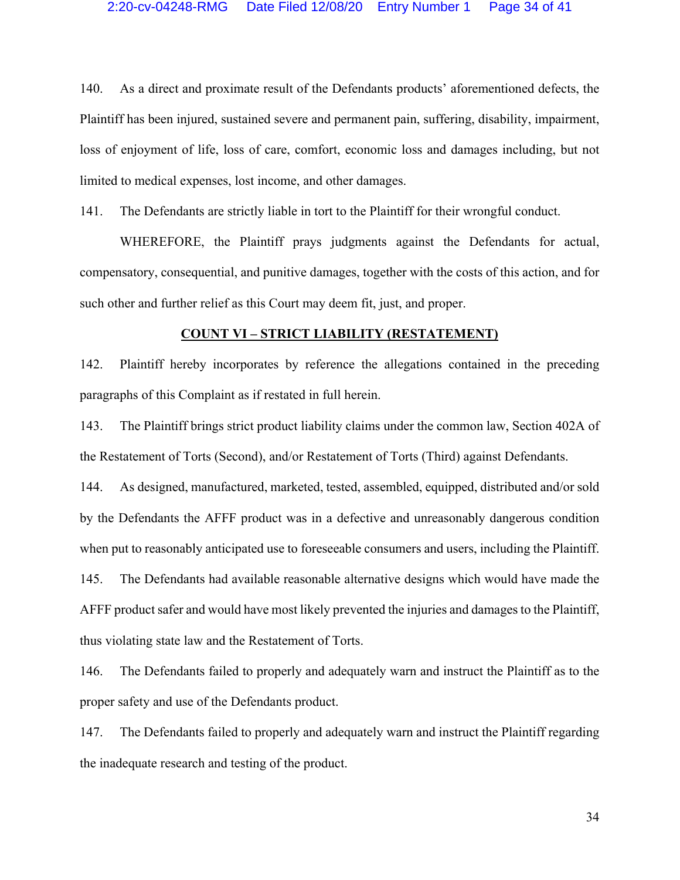140. As a direct and proximate result of the Defendants products' aforementioned defects, the Plaintiff has been injured, sustained severe and permanent pain, suffering, disability, impairment, loss of enjoyment of life, loss of care, comfort, economic loss and damages including, but not limited to medical expenses, lost income, and other damages.

141. The Defendants are strictly liable in tort to the Plaintiff for their wrongful conduct.

WHEREFORE, the Plaintiff prays judgments against the Defendants for actual, compensatory, consequential, and punitive damages, together with the costs of this action, and for such other and further relief as this Court may deem fit, just, and proper.

#### **COUNT VI – STRICT LIABILITY (RESTATEMENT)**

142. Plaintiff hereby incorporates by reference the allegations contained in the preceding paragraphs of this Complaint as if restated in full herein.

143. The Plaintiff brings strict product liability claims under the common law, Section 402A of the Restatement of Torts (Second), and/or Restatement of Torts (Third) against Defendants.

144. As designed, manufactured, marketed, tested, assembled, equipped, distributed and/or sold by the Defendants the AFFF product was in a defective and unreasonably dangerous condition when put to reasonably anticipated use to foreseeable consumers and users, including the Plaintiff. 145. The Defendants had available reasonable alternative designs which would have made the AFFF product safer and would have most likely prevented the injuries and damages to the Plaintiff, thus violating state law and the Restatement of Torts.

146. The Defendants failed to properly and adequately warn and instruct the Plaintiff as to the proper safety and use of the Defendants product.

147. The Defendants failed to properly and adequately warn and instruct the Plaintiff regarding the inadequate research and testing of the product.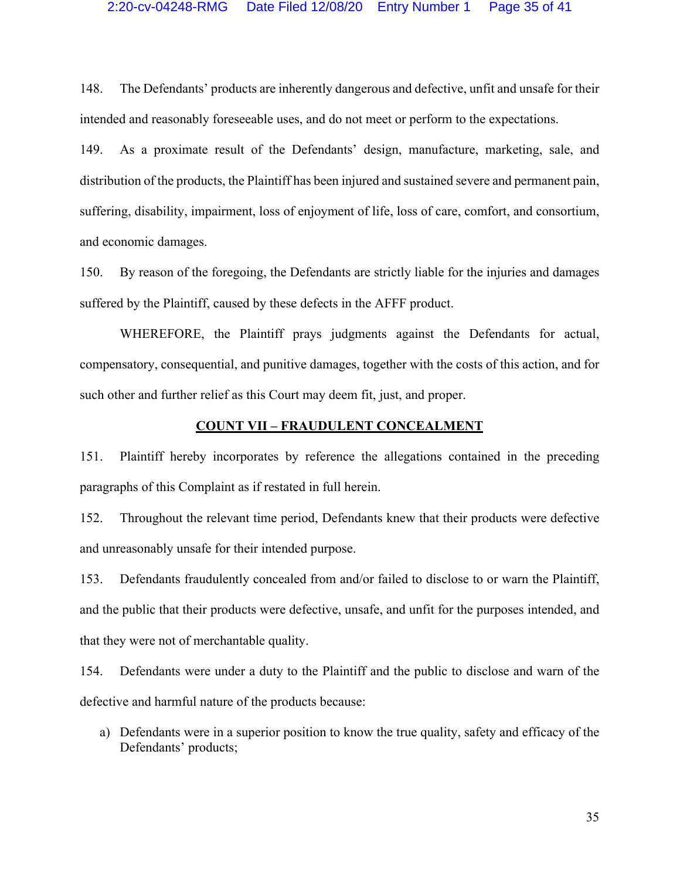148. The Defendants' products are inherently dangerous and defective, unfit and unsafe for their intended and reasonably foreseeable uses, and do not meet or perform to the expectations.

149. As a proximate result of the Defendants' design, manufacture, marketing, sale, and distribution of the products, the Plaintiff has been injured and sustained severe and permanent pain, suffering, disability, impairment, loss of enjoyment of life, loss of care, comfort, and consortium, and economic damages.

150. By reason of the foregoing, the Defendants are strictly liable for the injuries and damages suffered by the Plaintiff, caused by these defects in the AFFF product.

WHEREFORE, the Plaintiff prays judgments against the Defendants for actual, compensatory, consequential, and punitive damages, together with the costs of this action, and for such other and further relief as this Court may deem fit, just, and proper.

# **COUNT VII – FRAUDULENT CONCEALMENT**

151. Plaintiff hereby incorporates by reference the allegations contained in the preceding paragraphs of this Complaint as if restated in full herein.

152. Throughout the relevant time period, Defendants knew that their products were defective and unreasonably unsafe for their intended purpose.

153. Defendants fraudulently concealed from and/or failed to disclose to or warn the Plaintiff, and the public that their products were defective, unsafe, and unfit for the purposes intended, and that they were not of merchantable quality.

154. Defendants were under a duty to the Plaintiff and the public to disclose and warn of the defective and harmful nature of the products because:

a) Defendants were in a superior position to know the true quality, safety and efficacy of the Defendants' products;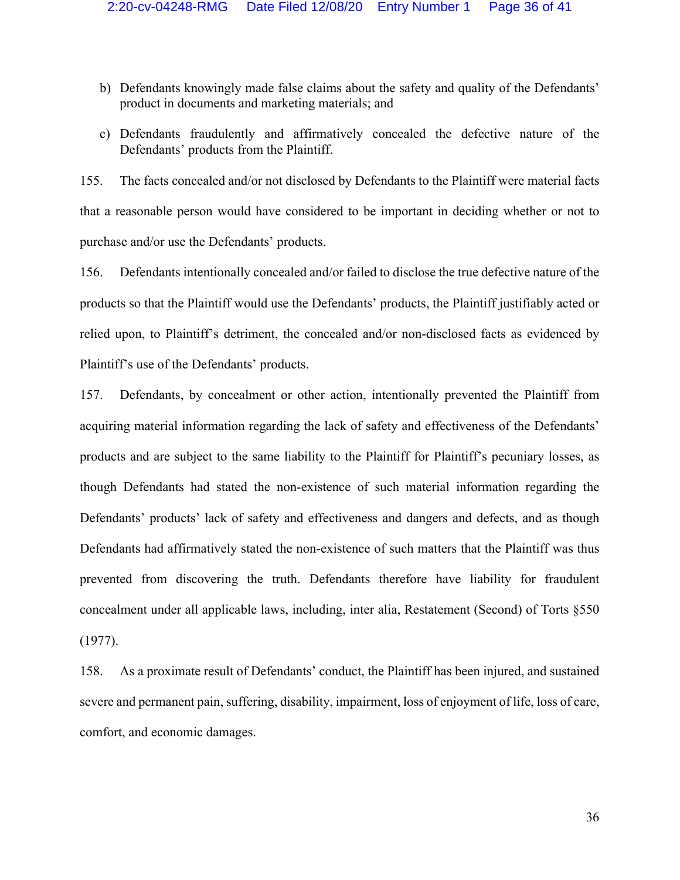- b) Defendants knowingly made false claims about the safety and quality of the Defendants' product in documents and marketing materials; and
- c) Defendants fraudulently and affirmatively concealed the defective nature of the Defendants' products from the Plaintiff.

155. The facts concealed and/or not disclosed by Defendants to the Plaintiff were material facts that a reasonable person would have considered to be important in deciding whether or not to purchase and/or use the Defendants' products.

156. Defendants intentionally concealed and/or failed to disclose the true defective nature of the products so that the Plaintiff would use the Defendants' products, the Plaintiff justifiably acted or relied upon, to Plaintiff's detriment, the concealed and/or non-disclosed facts as evidenced by Plaintiff's use of the Defendants' products.

157. Defendants, by concealment or other action, intentionally prevented the Plaintiff from acquiring material information regarding the lack of safety and effectiveness of the Defendants' products and are subject to the same liability to the Plaintiff for Plaintiff's pecuniary losses, as though Defendants had stated the non-existence of such material information regarding the Defendants' products' lack of safety and effectiveness and dangers and defects, and as though Defendants had affirmatively stated the non-existence of such matters that the Plaintiff was thus prevented from discovering the truth. Defendants therefore have liability for fraudulent concealment under all applicable laws, including, inter alia, Restatement (Second) of Torts §550 (1977).

158. As a proximate result of Defendants' conduct, the Plaintiff has been injured, and sustained severe and permanent pain, suffering, disability, impairment, loss of enjoyment of life, loss of care, comfort, and economic damages.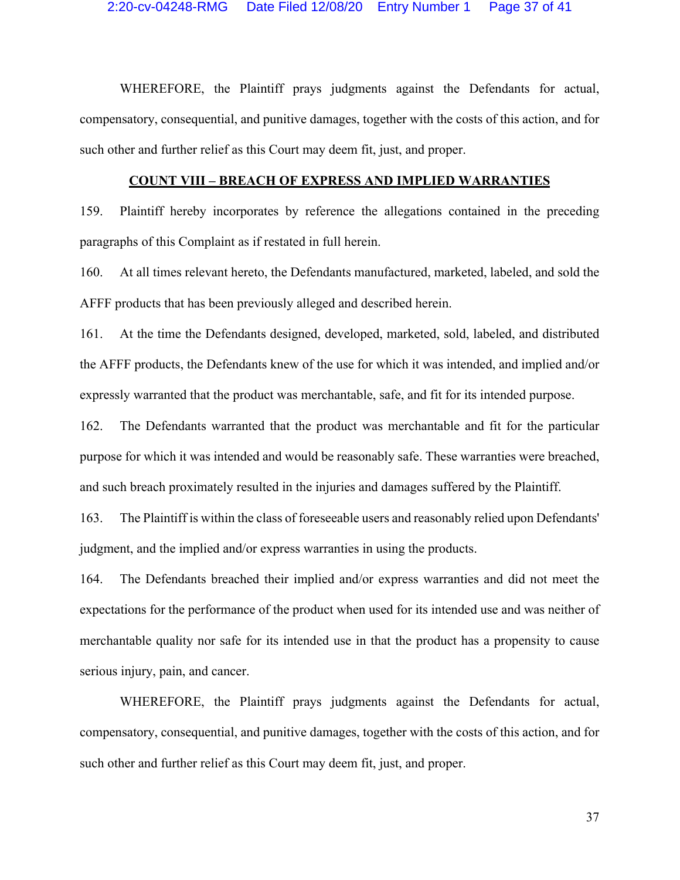WHEREFORE, the Plaintiff prays judgments against the Defendants for actual, compensatory, consequential, and punitive damages, together with the costs of this action, and for such other and further relief as this Court may deem fit, just, and proper.

#### **COUNT VIII – BREACH OF EXPRESS AND IMPLIED WARRANTIES**

159. Plaintiff hereby incorporates by reference the allegations contained in the preceding paragraphs of this Complaint as if restated in full herein.

160. At all times relevant hereto, the Defendants manufactured, marketed, labeled, and sold the AFFF products that has been previously alleged and described herein.

161. At the time the Defendants designed, developed, marketed, sold, labeled, and distributed the AFFF products, the Defendants knew of the use for which it was intended, and implied and/or expressly warranted that the product was merchantable, safe, and fit for its intended purpose.

162. The Defendants warranted that the product was merchantable and fit for the particular purpose for which it was intended and would be reasonably safe. These warranties were breached, and such breach proximately resulted in the injuries and damages suffered by the Plaintiff.

163. The Plaintiff is within the class of foreseeable users and reasonably relied upon Defendants' judgment, and the implied and/or express warranties in using the products.

164. The Defendants breached their implied and/or express warranties and did not meet the expectations for the performance of the product when used for its intended use and was neither of merchantable quality nor safe for its intended use in that the product has a propensity to cause serious injury, pain, and cancer.

WHEREFORE, the Plaintiff prays judgments against the Defendants for actual, compensatory, consequential, and punitive damages, together with the costs of this action, and for such other and further relief as this Court may deem fit, just, and proper.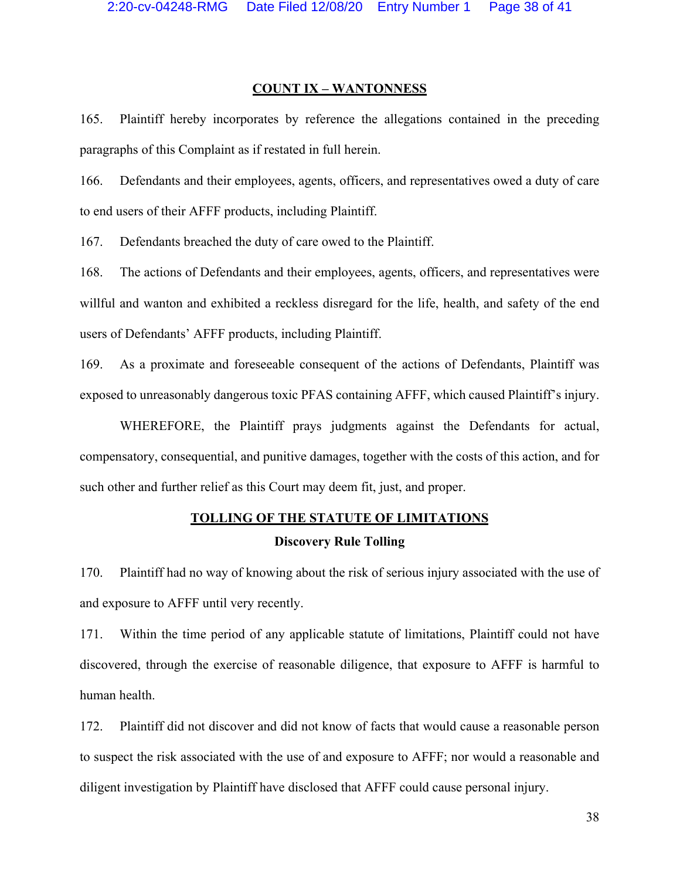## **COUNT IX – WANTONNESS**

165. Plaintiff hereby incorporates by reference the allegations contained in the preceding paragraphs of this Complaint as if restated in full herein.

166. Defendants and their employees, agents, officers, and representatives owed a duty of care to end users of their AFFF products, including Plaintiff.

167. Defendants breached the duty of care owed to the Plaintiff.

168. The actions of Defendants and their employees, agents, officers, and representatives were willful and wanton and exhibited a reckless disregard for the life, health, and safety of the end users of Defendants' AFFF products, including Plaintiff.

169. As a proximate and foreseeable consequent of the actions of Defendants, Plaintiff was exposed to unreasonably dangerous toxic PFAS containing AFFF, which caused Plaintiff's injury.

WHEREFORE, the Plaintiff prays judgments against the Defendants for actual, compensatory, consequential, and punitive damages, together with the costs of this action, and for such other and further relief as this Court may deem fit, just, and proper.

# **TOLLING OF THE STATUTE OF LIMITATIONS Discovery Rule Tolling**

170. Plaintiff had no way of knowing about the risk of serious injury associated with the use of and exposure to AFFF until very recently.

171. Within the time period of any applicable statute of limitations, Plaintiff could not have discovered, through the exercise of reasonable diligence, that exposure to AFFF is harmful to human health.

172. Plaintiff did not discover and did not know of facts that would cause a reasonable person to suspect the risk associated with the use of and exposure to AFFF; nor would a reasonable and diligent investigation by Plaintiff have disclosed that AFFF could cause personal injury.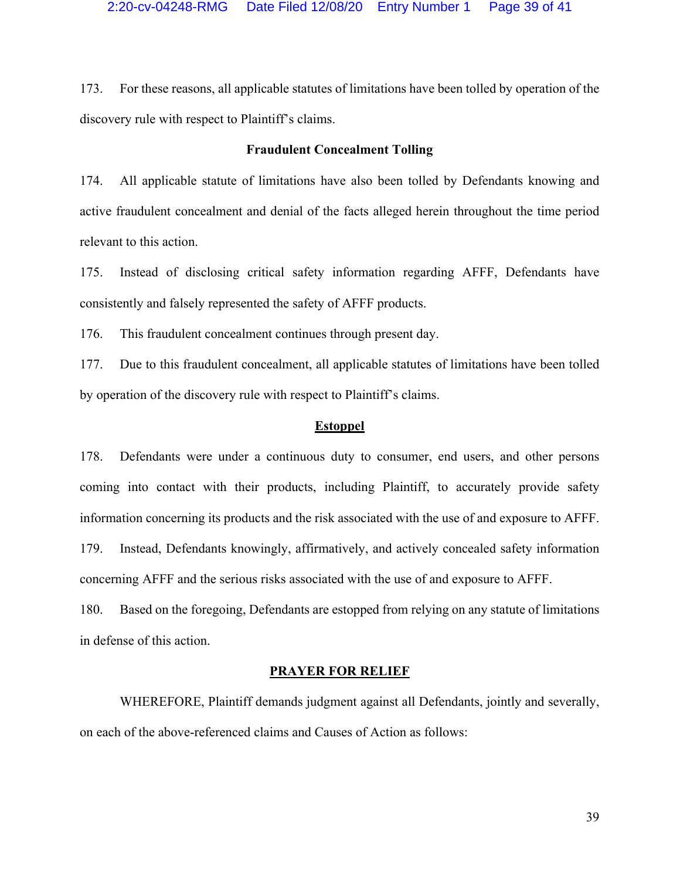173. For these reasons, all applicable statutes of limitations have been tolled by operation of the discovery rule with respect to Plaintiff's claims.

# **Fraudulent Concealment Tolling**

174. All applicable statute of limitations have also been tolled by Defendants knowing and active fraudulent concealment and denial of the facts alleged herein throughout the time period relevant to this action.

175. Instead of disclosing critical safety information regarding AFFF, Defendants have consistently and falsely represented the safety of AFFF products.

176. This fraudulent concealment continues through present day.

177. Due to this fraudulent concealment, all applicable statutes of limitations have been tolled by operation of the discovery rule with respect to Plaintiff's claims.

# **Estoppel**

178. Defendants were under a continuous duty to consumer, end users, and other persons coming into contact with their products, including Plaintiff, to accurately provide safety information concerning its products and the risk associated with the use of and exposure to AFFF. 179. Instead, Defendants knowingly, affirmatively, and actively concealed safety information concerning AFFF and the serious risks associated with the use of and exposure to AFFF.

180. Based on the foregoing, Defendants are estopped from relying on any statute of limitations in defense of this action.

# **PRAYER FOR RELIEF**

WHEREFORE, Plaintiff demands judgment against all Defendants, jointly and severally, on each of the above-referenced claims and Causes of Action as follows: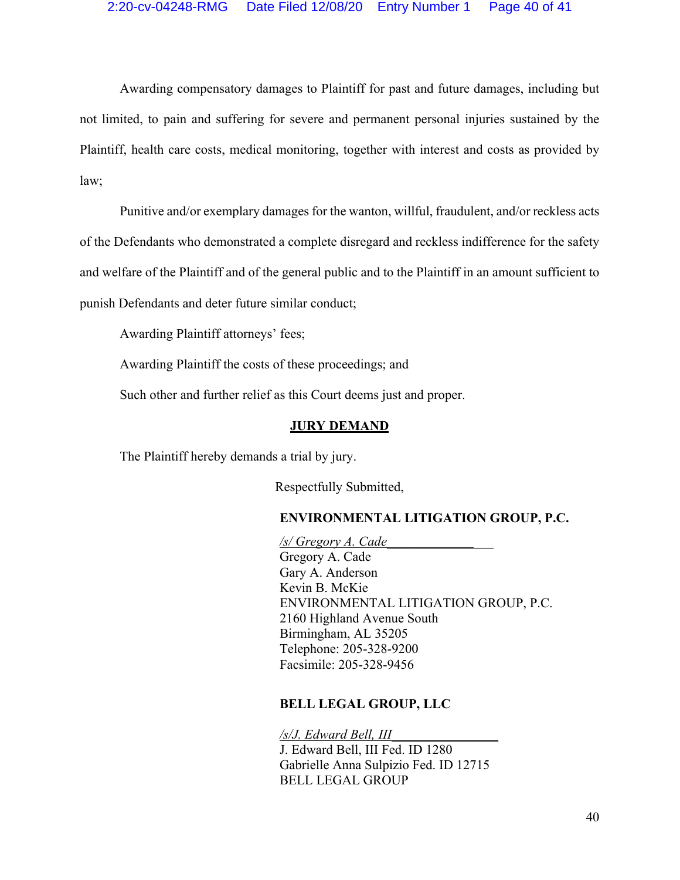Awarding compensatory damages to Plaintiff for past and future damages, including but not limited, to pain and suffering for severe and permanent personal injuries sustained by the Plaintiff, health care costs, medical monitoring, together with interest and costs as provided by law;

Punitive and/or exemplary damages for the wanton, willful, fraudulent, and/or reckless acts of the Defendants who demonstrated a complete disregard and reckless indifference for the safety and welfare of the Plaintiff and of the general public and to the Plaintiff in an amount sufficient to punish Defendants and deter future similar conduct;

Awarding Plaintiff attorneys' fees;

Awarding Plaintiff the costs of these proceedings; and

Such other and further relief as this Court deems just and proper.

# **JURY DEMAND**

The Plaintiff hereby demands a trial by jury.

Respectfully Submitted,

# **ENVIRONMENTAL LITIGATION GROUP, P.C.**

*/s/ Gregory A. Cade\_\_\_\_\_\_\_\_\_\_\_\_\_\_\_\_*

Gregory A. Cade Gary A. Anderson Kevin B. McKie ENVIRONMENTAL LITIGATION GROUP, P.C. 2160 Highland Avenue South Birmingham, AL 35205 Telephone: 205-328-9200 Facsimile: 205-328-9456

# **BELL LEGAL GROUP, LLC**

*/s/J. Edward Bell, III\_\_\_\_\_\_\_\_\_\_\_\_\_\_\_\_* J. Edward Bell, III Fed. ID 1280 Gabrielle Anna Sulpizio Fed. ID 12715 BELL LEGAL GROUP